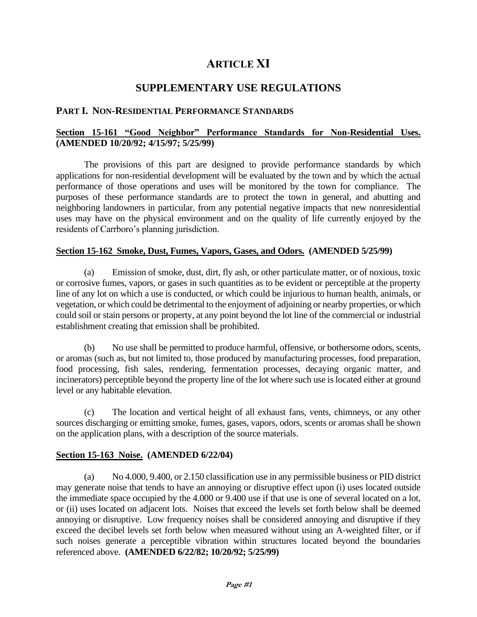# **ARTICLE XI**

# **SUPPLEMENTARY USE REGULATIONS**

### **PART I. NON-RESIDENTIAL PERFORMANCE STANDARDS**

### **Section 15-161 "Good Neighbor" Performance Standards for Non-Residential Uses. (AMENDED 10/20/92; 4/15/97; 5/25/99)**

The provisions of this part are designed to provide performance standards by which applications for non-residential development will be evaluated by the town and by which the actual performance of those operations and uses will be monitored by the town for compliance. The purposes of these performance standards are to protect the town in general, and abutting and neighboring landowners in particular, from any potential negative impacts that new nonresidential uses may have on the physical environment and on the quality of life currently enjoyed by the residents of Carrboro's planning jurisdiction.

### **Section 15-162 Smoke, Dust, Fumes, Vapors, Gases, and Odors. (AMENDED 5/25/99)**

(a) Emission of smoke, dust, dirt, fly ash, or other particulate matter, or of noxious, toxic or corrosive fumes, vapors, or gases in such quantities as to be evident or perceptible at the property line of any lot on which a use is conducted, or which could be injurious to human health, animals, or vegetation, or which could be detrimental to the enjoyment of adjoining or nearby properties, or which could soil or stain persons or property, at any point beyond the lot line of the commercial or industrial establishment creating that emission shall be prohibited.

(b) No use shall be permitted to produce harmful, offensive, or bothersome odors, scents, or aromas (such as, but not limited to, those produced by manufacturing processes, food preparation, food processing, fish sales, rendering, fermentation processes, decaying organic matter, and incinerators) perceptible beyond the property line of the lot where such use is located either at ground level or any habitable elevation.

(c) The location and vertical height of all exhaust fans, vents, chimneys, or any other sources discharging or emitting smoke, fumes, gases, vapors, odors, scents or aromas shall be shown on the application plans, with a description of the source materials.

### **Section 15-163 Noise. (AMENDED 6/22/04)**

(a) No 4.000, 9.400, or 2.150 classification use in any permissible business or PID district may generate noise that tends to have an annoying or disruptive effect upon (i) uses located outside the immediate space occupied by the 4.000 or 9.400 use if that use is one of several located on a lot, or (ii) uses located on adjacent lots. Noises that exceed the levels set forth below shall be deemed annoying or disruptive. Low frequency noises shall be considered annoying and disruptive if they exceed the decibel levels set forth below when measured without using an A-weighted filter, or if such noises generate a perceptible vibration within structures located beyond the boundaries referenced above. **(AMENDED 6/22/82; 10/20/92; 5/25/99)**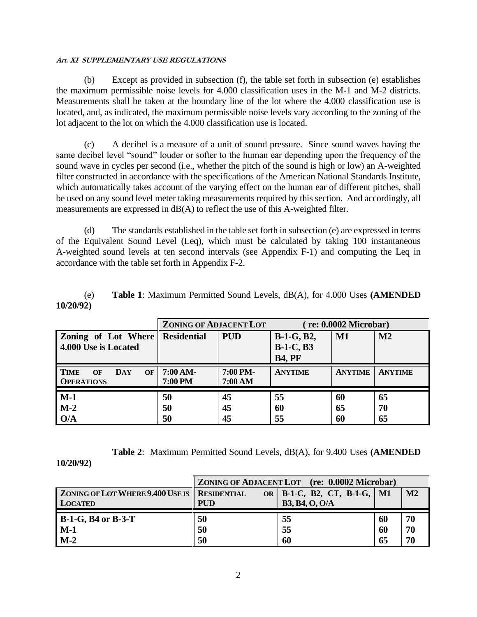(b) Except as provided in subsection (f), the table set forth in subsection (e) establishes the maximum permissible noise levels for 4.000 classification uses in the M-1 and M-2 districts. Measurements shall be taken at the boundary line of the lot where the 4.000 classification use is located, and, as indicated, the maximum permissible noise levels vary according to the zoning of the lot adjacent to the lot on which the 4.000 classification use is located.

(c) A decibel is a measure of a unit of sound pressure. Since sound waves having the same decibel level "sound" louder or softer to the human ear depending upon the frequency of the sound wave in cycles per second (i.e., whether the pitch of the sound is high or low) an A-weighted filter constructed in accordance with the specifications of the American National Standards Institute, which automatically takes account of the varying effect on the human ear of different pitches, shall be used on any sound level meter taking measurements required by this section. And accordingly, all measurements are expressed in  $dB(A)$  to reflect the use of this A-weighted filter.

(d) The standards established in the table set forth in subsection (e) are expressed in terms of the Equivalent Sound Level (Leq), which must be calculated by taking 100 instantaneous A-weighted sound levels at ten second intervals (see Appendix F-1) and computing the Leq in accordance with the table set forth in Appendix F-2.

|           | <b>Table 1:</b> Maximum Permitted Sound Levels, dB(A), for 4.000 Uses ( <b>AMENDED</b> |  |
|-----------|----------------------------------------------------------------------------------------|--|
| 10/20/92) |                                                                                        |  |

|                                                            | <b>ZONING OF ADJACENT LOT</b> |                     | re: 0.0002 Microbar)                                   |                |                |
|------------------------------------------------------------|-------------------------------|---------------------|--------------------------------------------------------|----------------|----------------|
| Zoning of Lot Where Residential<br>4.000 Use is Located    |                               | <b>PUD</b>          | <b>B-1-G, B2,</b><br><b>B-1-C, B3</b><br><b>B4, PF</b> | M1             | M <sub>2</sub> |
| <b>TIME</b><br>DAY<br>OF<br><b>OF</b><br><b>OPERATIONS</b> | 7:00 AM-<br>7:00 PM           | 7:00 PM-<br>7:00 AM | <b>ANYTIME</b>                                         | <b>ANYTIME</b> | <b>ANYTIME</b> |
| $M-1$<br>$M-2$<br>O/A                                      | 50<br>50<br>50                | 45<br>45<br>45      | 55<br>60<br>55                                         | 60<br>65<br>60 | 65<br>70<br>65 |

**Table 2**: Maximum Permitted Sound Levels, dB(A), for 9.400 Uses **(AMENDED** 

**10/20/92)**

|                                                     | ZONING OF ADJACENT LOT (re: 0.0002 Microbar) |                                 |    |               |
|-----------------------------------------------------|----------------------------------------------|---------------------------------|----|---------------|
| <b>ZONING OF LOT WHERE 9.400 USE IS RESIDENTIAL</b> |                                              | OR   B-1-C, B2, CT, B-1-G,   M1 |    | $\mathbf{M2}$ |
| <b>LOCATED</b>                                      | <b>PUD</b>                                   | <b>B3, B4, O, O/A</b>           |    |               |
| <b>B-1-G, B4 or B-3-T</b>                           | 50                                           | 55                              | 60 | 70            |
| $M-1$                                               | 50                                           | 55                              | 60 | 70            |
| $M-2$                                               | 50                                           | 60                              | 65 | 70            |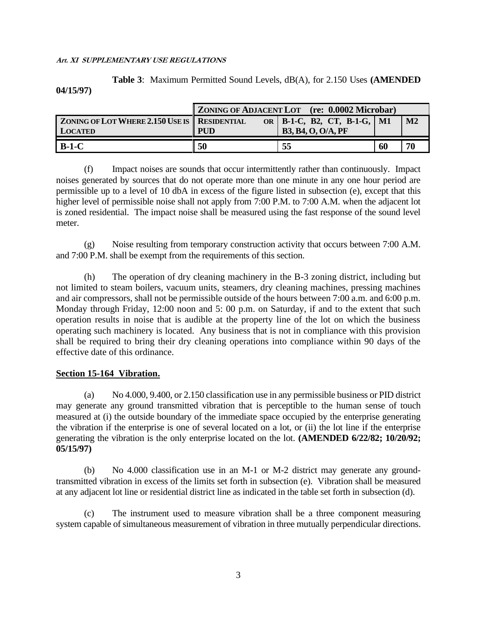**Table 3**: Maximum Permitted Sound Levels, dB(A), for 2.150 Uses **(AMENDED 04/15/97)**

|                                                     | <b>ZONING OF ADJACENT LOT</b> (re: 0.0002 Microbar) |                                 |                |
|-----------------------------------------------------|-----------------------------------------------------|---------------------------------|----------------|
| <b>ZONING OF LOT WHERE 2.150 USE IS RESIDENTIAL</b> |                                                     | OR   B-1-C, B2, CT, B-1-G,   M1 | M <sub>2</sub> |
| <b>LOCATED</b>                                      | <b>PUD</b>                                          | <b>B3, B4, O, O/A, PF</b>       |                |
| $B-1-C$                                             | 50                                                  | 55                              | 70<br>60       |

(f) Impact noises are sounds that occur intermittently rather than continuously. Impact noises generated by sources that do not operate more than one minute in any one hour period are permissible up to a level of 10 dbA in excess of the figure listed in subsection (e), except that this higher level of permissible noise shall not apply from 7:00 P.M. to 7:00 A.M. when the adjacent lot is zoned residential. The impact noise shall be measured using the fast response of the sound level meter.

(g) Noise resulting from temporary construction activity that occurs between 7:00 A.M. and 7:00 P.M. shall be exempt from the requirements of this section.

(h) The operation of dry cleaning machinery in the B-3 zoning district, including but not limited to steam boilers, vacuum units, steamers, dry cleaning machines, pressing machines and air compressors, shall not be permissible outside of the hours between 7:00 a.m. and 6:00 p.m. Monday through Friday, 12:00 noon and 5: 00 p.m. on Saturday, if and to the extent that such operation results in noise that is audible at the property line of the lot on which the business operating such machinery is located. Any business that is not in compliance with this provision shall be required to bring their dry cleaning operations into compliance within 90 days of the effective date of this ordinance.

### **Section 15-164 Vibration.**

(a) No 4.000, 9.400, or 2.150 classification use in any permissible business or PID district may generate any ground transmitted vibration that is perceptible to the human sense of touch measured at (i) the outside boundary of the immediate space occupied by the enterprise generating the vibration if the enterprise is one of several located on a lot, or (ii) the lot line if the enterprise generating the vibration is the only enterprise located on the lot. **(AMENDED 6/22/82; 10/20/92; 05/15/97)**

(b) No 4.000 classification use in an M-1 or M-2 district may generate any groundtransmitted vibration in excess of the limits set forth in subsection (e). Vibration shall be measured at any adjacent lot line or residential district line as indicated in the table set forth in subsection (d).

(c) The instrument used to measure vibration shall be a three component measuring system capable of simultaneous measurement of vibration in three mutually perpendicular directions.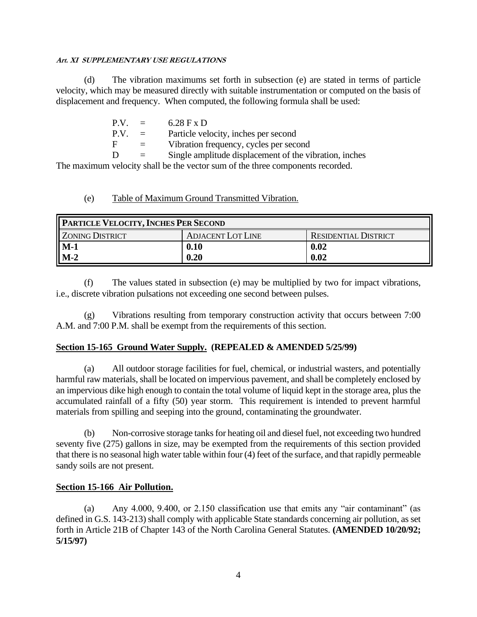(d) The vibration maximums set forth in subsection (e) are stated in terms of particle velocity, which may be measured directly with suitable instrumentation or computed on the basis of displacement and frequency. When computed, the following formula shall be used:

| P.V. | $\equiv$ | $6.28$ F x D                                           |
|------|----------|--------------------------------------------------------|
| P.V. | $\equiv$ | Particle velocity, inches per second                   |
| F    | $=$      | Vibration frequency, cycles per second                 |
| Ð    | $\equiv$ | Single amplitude displacement of the vibration, inches |

The maximum velocity shall be the vector sum of the three components recorded.

### (e) Table of Maximum Ground Transmitted Vibration.

| <b>PARTICLE VELOCITY, INCHES PER SECOND</b> |                          |                             |  |  |
|---------------------------------------------|--------------------------|-----------------------------|--|--|
| ZONING DISTRICT                             | <b>ADJACENT LOT LINE</b> | <b>RESIDENTIAL DISTRICT</b> |  |  |
| $\sqrt{\frac{M-1}{M-2}}$                    | 0.10                     | 0.02                        |  |  |
|                                             | 0.20                     | 0.02                        |  |  |

(f) The values stated in subsection (e) may be multiplied by two for impact vibrations, i.e., discrete vibration pulsations not exceeding one second between pulses.

(g) Vibrations resulting from temporary construction activity that occurs between 7:00 A.M. and 7:00 P.M. shall be exempt from the requirements of this section.

# **Section 15-165 Ground Water Supply. (REPEALED & AMENDED 5/25/99)**

(a) All outdoor storage facilities for fuel, chemical, or industrial wasters, and potentially harmful raw materials, shall be located on impervious pavement, and shall be completely enclosed by an impervious dike high enough to contain the total volume of liquid kept in the storage area, plus the accumulated rainfall of a fifty (50) year storm. This requirement is intended to prevent harmful materials from spilling and seeping into the ground, contaminating the groundwater.

(b) Non-corrosive storage tanks for heating oil and diesel fuel, not exceeding two hundred seventy five (275) gallons in size, may be exempted from the requirements of this section provided that there is no seasonal high water table within four (4) feet of the surface, and that rapidly permeable sandy soils are not present.

### **Section 15-166 Air Pollution.**

(a) Any 4.000, 9.400, or 2.150 classification use that emits any "air contaminant" (as defined in G.S. 143-213) shall comply with applicable State standards concerning air pollution, as set forth in Article 21B of Chapter 143 of the North Carolina General Statutes. **(AMENDED 10/20/92; 5/15/97)**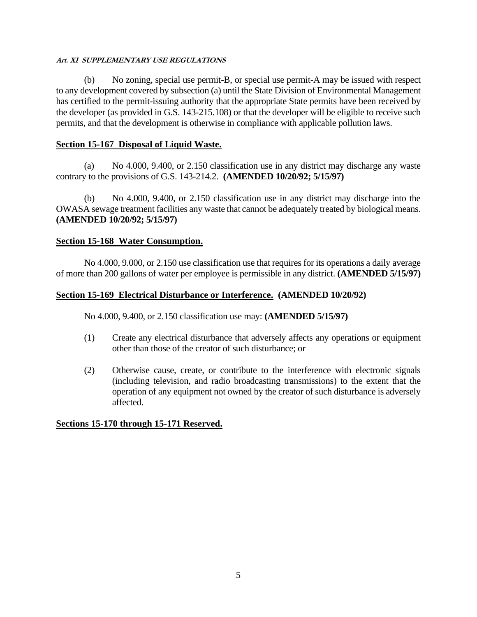(b) No zoning, special use permit-B, or special use permit-A may be issued with respect to any development covered by subsection (a) until the State Division of Environmental Management has certified to the permit-issuing authority that the appropriate State permits have been received by the developer (as provided in G.S. 143-215.108) or that the developer will be eligible to receive such permits, and that the development is otherwise in compliance with applicable pollution laws.

# **Section 15-167 Disposal of Liquid Waste.**

(a) No 4.000, 9.400, or 2.150 classification use in any district may discharge any waste contrary to the provisions of G.S. 143-214.2. **(AMENDED 10/20/92; 5/15/97)**

(b) No 4.000, 9.400, or 2.150 classification use in any district may discharge into the OWASA sewage treatment facilities any waste that cannot be adequately treated by biological means. **(AMENDED 10/20/92; 5/15/97)**

### **Section 15-168 Water Consumption.**

No 4.000, 9.000, or 2.150 use classification use that requires for its operations a daily average of more than 200 gallons of water per employee is permissible in any district. **(AMENDED 5/15/97)**

### **Section 15-169 Electrical Disturbance or Interference. (AMENDED 10/20/92)**

No 4.000, 9.400, or 2.150 classification use may: **(AMENDED 5/15/97)**

- (1) Create any electrical disturbance that adversely affects any operations or equipment other than those of the creator of such disturbance; or
- (2) Otherwise cause, create, or contribute to the interference with electronic signals (including television, and radio broadcasting transmissions) to the extent that the operation of any equipment not owned by the creator of such disturbance is adversely affected.

### **Sections 15-170 through 15-171 Reserved.**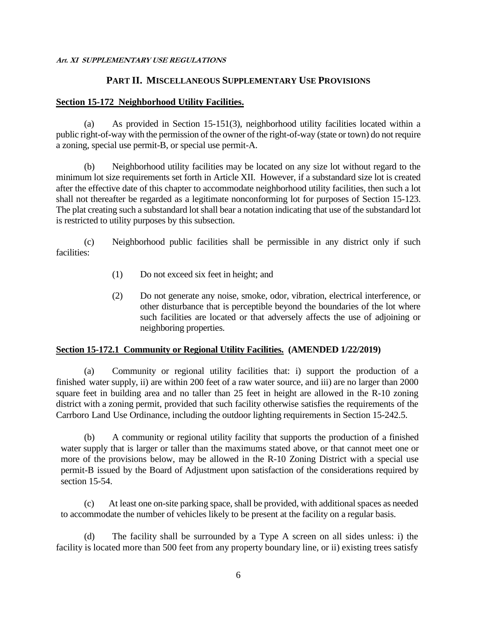### **PART II. MISCELLANEOUS SUPPLEMENTARY USE PROVISIONS**

### **Section 15-172 Neighborhood Utility Facilities.**

(a) As provided in Section 15-151(3), neighborhood utility facilities located within a public right-of-way with the permission of the owner of the right-of-way (state or town) do not require a zoning, special use permit-B, or special use permit-A.

(b) Neighborhood utility facilities may be located on any size lot without regard to the minimum lot size requirements set forth in Article XII. However, if a substandard size lot is created after the effective date of this chapter to accommodate neighborhood utility facilities, then such a lot shall not thereafter be regarded as a legitimate nonconforming lot for purposes of Section 15-123. The plat creating such a substandard lot shall bear a notation indicating that use of the substandard lot is restricted to utility purposes by this subsection.

(c) Neighborhood public facilities shall be permissible in any district only if such facilities:

- (1) Do not exceed six feet in height; and
- (2) Do not generate any noise, smoke, odor, vibration, electrical interference, or other disturbance that is perceptible beyond the boundaries of the lot where such facilities are located or that adversely affects the use of adjoining or neighboring properties.

# **Section 15-172.1 Community or Regional Utility Facilities. (AMENDED 1/22/2019)**

(a) Community or regional utility facilities that: i) support the production of a finished water supply, ii) are within 200 feet of a raw water source, and iii) are no larger than 2000 square feet in building area and no taller than 25 feet in height are allowed in the R-10 zoning district with a zoning permit, provided that such facility otherwise satisfies the requirements of the Carrboro Land Use Ordinance, including the outdoor lighting requirements in Section 15-242.5.

(b) A community or regional utility facility that supports the production of a finished water supply that is larger or taller than the maximums stated above, or that cannot meet one or more of the provisions below, may be allowed in the R-10 Zoning District with a special use permit-B issued by the Board of Adjustment upon satisfaction of the considerations required by section 15-54.

(c) At least one on-site parking space, shall be provided, with additional spaces as needed to accommodate the number of vehicles likely to be present at the facility on a regular basis.

(d) The facility shall be surrounded by a Type A screen on all sides unless: i) the facility is located more than 500 feet from any property boundary line, or ii) existing trees satisfy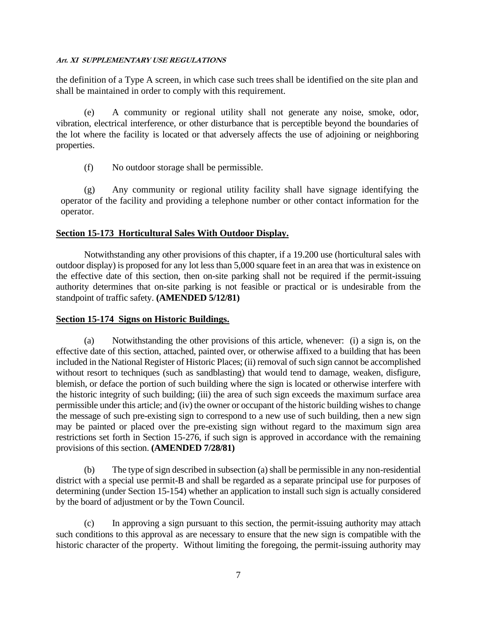the definition of a Type A screen, in which case such trees shall be identified on the site plan and shall be maintained in order to comply with this requirement.

(e) A community or regional utility shall not generate any noise, smoke, odor, vibration, electrical interference, or other disturbance that is perceptible beyond the boundaries of the lot where the facility is located or that adversely affects the use of adjoining or neighboring properties.

(f) No outdoor storage shall be permissible.

(g) Any community or regional utility facility shall have signage identifying the operator of the facility and providing a telephone number or other contact information for the operator.

### **Section 15-173 Horticultural Sales With Outdoor Display.**

Notwithstanding any other provisions of this chapter, if a 19.200 use (horticultural sales with outdoor display) is proposed for any lot less than 5,000 square feet in an area that was in existence on the effective date of this section, then on-site parking shall not be required if the permit-issuing authority determines that on-site parking is not feasible or practical or is undesirable from the standpoint of traffic safety. **(AMENDED 5/12/81)**

### **Section 15-174 Signs on Historic Buildings.**

(a) Notwithstanding the other provisions of this article, whenever: (i) a sign is, on the effective date of this section, attached, painted over, or otherwise affixed to a building that has been included in the National Register of Historic Places; (ii) removal of such sign cannot be accomplished without resort to techniques (such as sandblasting) that would tend to damage, weaken, disfigure, blemish, or deface the portion of such building where the sign is located or otherwise interfere with the historic integrity of such building; (iii) the area of such sign exceeds the maximum surface area permissible under this article; and (iv) the owner or occupant of the historic building wishes to change the message of such pre-existing sign to correspond to a new use of such building, then a new sign may be painted or placed over the pre-existing sign without regard to the maximum sign area restrictions set forth in Section 15-276, if such sign is approved in accordance with the remaining provisions of this section. **(AMENDED 7/28/81)**

(b) The type of sign described in subsection (a) shall be permissible in any non-residential district with a special use permit-B and shall be regarded as a separate principal use for purposes of determining (under Section 15-154) whether an application to install such sign is actually considered by the board of adjustment or by the Town Council.

(c) In approving a sign pursuant to this section, the permit-issuing authority may attach such conditions to this approval as are necessary to ensure that the new sign is compatible with the historic character of the property. Without limiting the foregoing, the permit-issuing authority may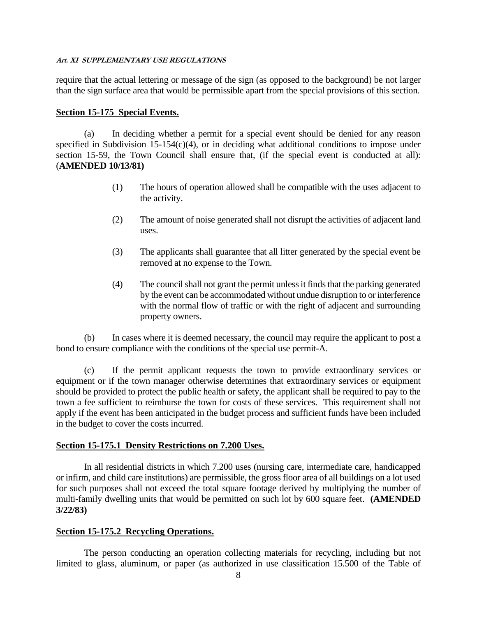require that the actual lettering or message of the sign (as opposed to the background) be not larger than the sign surface area that would be permissible apart from the special provisions of this section.

### **Section 15-175 Special Events.**

(a) In deciding whether a permit for a special event should be denied for any reason specified in Subdivision  $15{\text -}154(c)(4)$ , or in deciding what additional conditions to impose under section 15-59, the Town Council shall ensure that, (if the special event is conducted at all): (**AMENDED 10/13/81)**

- (1) The hours of operation allowed shall be compatible with the uses adjacent to the activity.
- (2) The amount of noise generated shall not disrupt the activities of adjacent land uses.
- (3) The applicants shall guarantee that all litter generated by the special event be removed at no expense to the Town.
- (4) The councilshall not grant the permit unless it finds that the parking generated by the event can be accommodated without undue disruption to or interference with the normal flow of traffic or with the right of adjacent and surrounding property owners.

(b) In cases where it is deemed necessary, the council may require the applicant to post a bond to ensure compliance with the conditions of the special use permit-A.

(c) If the permit applicant requests the town to provide extraordinary services or equipment or if the town manager otherwise determines that extraordinary services or equipment should be provided to protect the public health or safety, the applicant shall be required to pay to the town a fee sufficient to reimburse the town for costs of these services. This requirement shall not apply if the event has been anticipated in the budget process and sufficient funds have been included in the budget to cover the costs incurred.

### **Section 15-175.1 Density Restrictions on 7.200 Uses.**

In all residential districts in which 7.200 uses (nursing care, intermediate care, handicapped or infirm, and child care institutions) are permissible, the gross floor area of all buildings on a lot used for such purposes shall not exceed the total square footage derived by multiplying the number of multi-family dwelling units that would be permitted on such lot by 600 square feet. **(AMENDED 3/22/83)**

### **Section 15-175.2 Recycling Operations.**

The person conducting an operation collecting materials for recycling, including but not limited to glass, aluminum, or paper (as authorized in use classification 15.500 of the Table of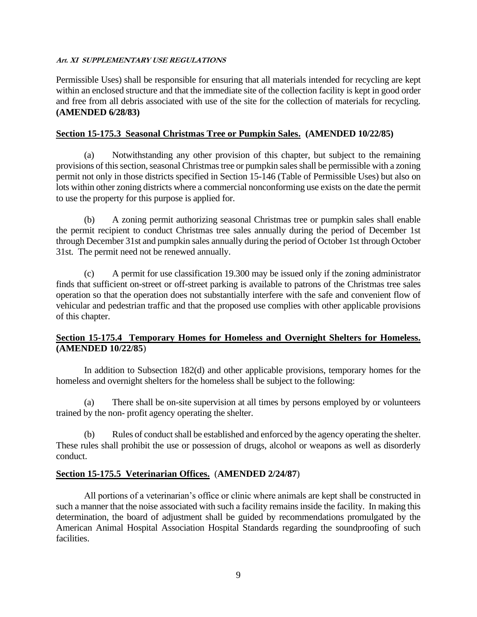Permissible Uses) shall be responsible for ensuring that all materials intended for recycling are kept within an enclosed structure and that the immediate site of the collection facility is kept in good order and free from all debris associated with use of the site for the collection of materials for recycling. **(AMENDED 6/28/83)**

### **Section 15-175.3 Seasonal Christmas Tree or Pumpkin Sales. (AMENDED 10/22/85)**

(a) Notwithstanding any other provision of this chapter, but subject to the remaining provisions of this section, seasonal Christmas tree or pumpkin sales shall be permissible with a zoning permit not only in those districts specified in Section 15-146 (Table of Permissible Uses) but also on lots within other zoning districts where a commercial nonconforming use exists on the date the permit to use the property for this purpose is applied for.

(b) A zoning permit authorizing seasonal Christmas tree or pumpkin sales shall enable the permit recipient to conduct Christmas tree sales annually during the period of December 1st through December 31st and pumpkin sales annually during the period of October 1st through October 31st. The permit need not be renewed annually.

(c) A permit for use classification 19.300 may be issued only if the zoning administrator finds that sufficient on-street or off-street parking is available to patrons of the Christmas tree sales operation so that the operation does not substantially interfere with the safe and convenient flow of vehicular and pedestrian traffic and that the proposed use complies with other applicable provisions of this chapter.

### **Section 15-175.4 Temporary Homes for Homeless and Overnight Shelters for Homeless. (AMENDED 10/22/85**)

In addition to Subsection 182(d) and other applicable provisions, temporary homes for the homeless and overnight shelters for the homeless shall be subject to the following:

(a) There shall be on-site supervision at all times by persons employed by or volunteers trained by the non- profit agency operating the shelter.

(b) Rules of conduct shall be established and enforced by the agency operating the shelter. These rules shall prohibit the use or possession of drugs, alcohol or weapons as well as disorderly conduct.

# **Section 15-175.5 Veterinarian Offices.** (**AMENDED 2/24/87**)

All portions of a veterinarian's office or clinic where animals are kept shall be constructed in such a manner that the noise associated with such a facility remains inside the facility. In making this determination, the board of adjustment shall be guided by recommendations promulgated by the American Animal Hospital Association Hospital Standards regarding the soundproofing of such facilities.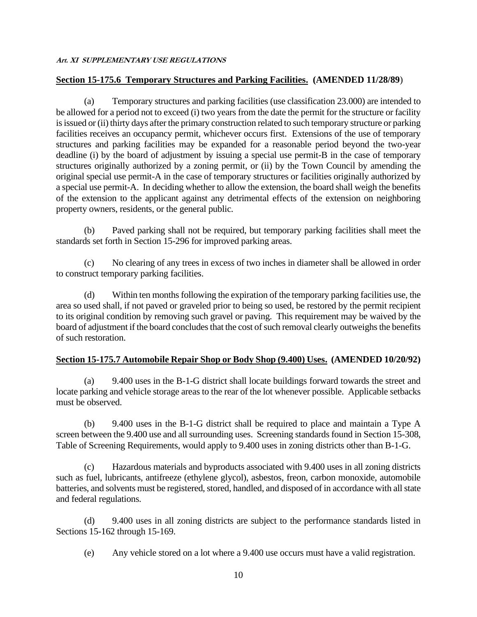### **Section 15-175.6 Temporary Structures and Parking Facilities. (AMENDED 11/28/89**)

(a) Temporary structures and parking facilities (use classification 23.000) are intended to be allowed for a period not to exceed (i) two years from the date the permit for the structure or facility is issued or (ii) thirty days after the primary construction related to such temporary structure or parking facilities receives an occupancy permit, whichever occurs first. Extensions of the use of temporary structures and parking facilities may be expanded for a reasonable period beyond the two-year deadline (i) by the board of adjustment by issuing a special use permit-B in the case of temporary structures originally authorized by a zoning permit, or (ii) by the Town Council by amending the original special use permit-A in the case of temporary structures or facilities originally authorized by a special use permit-A. In deciding whether to allow the extension, the board shall weigh the benefits of the extension to the applicant against any detrimental effects of the extension on neighboring property owners, residents, or the general public.

(b) Paved parking shall not be required, but temporary parking facilities shall meet the standards set forth in Section 15-296 for improved parking areas.

(c) No clearing of any trees in excess of two inches in diameter shall be allowed in order to construct temporary parking facilities.

(d) Within ten months following the expiration of the temporary parking facilities use, the area so used shall, if not paved or graveled prior to being so used, be restored by the permit recipient to its original condition by removing such gravel or paving. This requirement may be waived by the board of adjustment if the board concludes that the cost of such removal clearly outweighs the benefits of such restoration.

### **Section 15-175.7 Automobile Repair Shop or Body Shop (9.400) Uses. (AMENDED 10/20/92)**

(a) 9.400 uses in the B-1-G district shall locate buildings forward towards the street and locate parking and vehicle storage areas to the rear of the lot whenever possible. Applicable setbacks must be observed.

(b) 9.400 uses in the B-1-G district shall be required to place and maintain a Type A screen between the 9.400 use and all surrounding uses. Screening standards found in Section 15-308, Table of Screening Requirements, would apply to 9.400 uses in zoning districts other than B-1-G.

(c) Hazardous materials and byproducts associated with 9.400 uses in all zoning districts such as fuel, lubricants, antifreeze (ethylene glycol), asbestos, freon, carbon monoxide, automobile batteries, and solvents must be registered, stored, handled, and disposed of in accordance with all state and federal regulations.

(d) 9.400 uses in all zoning districts are subject to the performance standards listed in Sections 15-162 through 15-169.

(e) Any vehicle stored on a lot where a 9.400 use occurs must have a valid registration.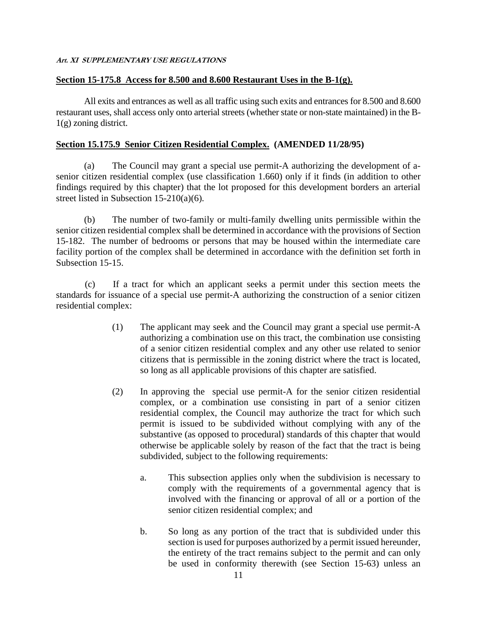### **Section 15-175.8 Access for 8.500 and 8.600 Restaurant Uses in the B-1(g).**

All exits and entrances as well as all traffic using such exits and entrances for 8.500 and 8.600 restaurant uses, shall access only onto arterial streets (whether state or non-state maintained) in the B-1(g) zoning district.

#### **Section 15.175.9 Senior Citizen Residential Complex. (AMENDED 11/28/95)**

(a) The Council may grant a special use permit-A authorizing the development of asenior citizen residential complex (use classification 1.660) only if it finds (in addition to other findings required by this chapter) that the lot proposed for this development borders an arterial street listed in Subsection 15-210(a)(6).

(b) The number of two-family or multi-family dwelling units permissible within the senior citizen residential complex shall be determined in accordance with the provisions of Section 15-182. The number of bedrooms or persons that may be housed within the intermediate care facility portion of the complex shall be determined in accordance with the definition set forth in Subsection 15-15.

(c) If a tract for which an applicant seeks a permit under this section meets the standards for issuance of a special use permit-A authorizing the construction of a senior citizen residential complex:

- (1) The applicant may seek and the Council may grant a special use permit-A authorizing a combination use on this tract, the combination use consisting of a senior citizen residential complex and any other use related to senior citizens that is permissible in the zoning district where the tract is located, so long as all applicable provisions of this chapter are satisfied.
- (2) In approving the special use permit-A for the senior citizen residential complex, or a combination use consisting in part of a senior citizen residential complex, the Council may authorize the tract for which such permit is issued to be subdivided without complying with any of the substantive (as opposed to procedural) standards of this chapter that would otherwise be applicable solely by reason of the fact that the tract is being subdivided, subject to the following requirements:
	- a. This subsection applies only when the subdivision is necessary to comply with the requirements of a governmental agency that is involved with the financing or approval of all or a portion of the senior citizen residential complex; and
	- b. So long as any portion of the tract that is subdivided under this section is used for purposes authorized by a permit issued hereunder, the entirety of the tract remains subject to the permit and can only be used in conformity therewith (see Section 15-63) unless an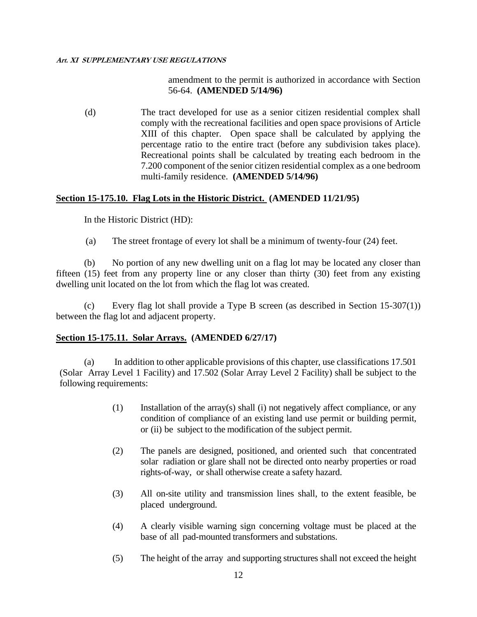### amendment to the permit is authorized in accordance with Section 56-64. **(AMENDED 5/14/96)**

(d) The tract developed for use as a senior citizen residential complex shall comply with the recreational facilities and open space provisions of Article XIII of this chapter. Open space shall be calculated by applying the percentage ratio to the entire tract (before any subdivision takes place). Recreational points shall be calculated by treating each bedroom in the 7.200 component of the senior citizen residential complex as a one bedroom multi-family residence. **(AMENDED 5/14/96)**

### **Section 15-175.10. Flag Lots in the Historic District. (AMENDED 11/21/95)**

In the Historic District (HD):

(a) The street frontage of every lot shall be a minimum of twenty-four (24) feet.

(b) No portion of any new dwelling unit on a flag lot may be located any closer than fifteen (15) feet from any property line or any closer than thirty (30) feet from any existing dwelling unit located on the lot from which the flag lot was created.

(c) Every flag lot shall provide a Type B screen (as described in Section 15-307(1)) between the flag lot and adjacent property.

#### **Section 15-175.11. Solar Arrays. (AMENDED 6/27/17)**

(a) In addition to other applicable provisions of this chapter, use classifications 17.501 (Solar Array Level 1 Facility) and 17.502 (Solar Array Level 2 Facility) shall be subject to the following requirements:

- (1) Installation of the array(s) shall (i) not negatively affect compliance, or any condition of compliance of an existing land use permit or building permit, or (ii) be subject to the modification of the subject permit.
- (2) The panels are designed, positioned, and oriented such that concentrated solar radiation or glare shall not be directed onto nearby properties or road rights-of-way, or shall otherwise create a safety hazard.
- (3) All on-site utility and transmission lines shall, to the extent feasible, be placed underground.
- (4) A clearly visible warning sign concerning voltage must be placed at the base of all pad-mounted transformers and substations.
- (5) The height of the array and supporting structures shall not exceed the height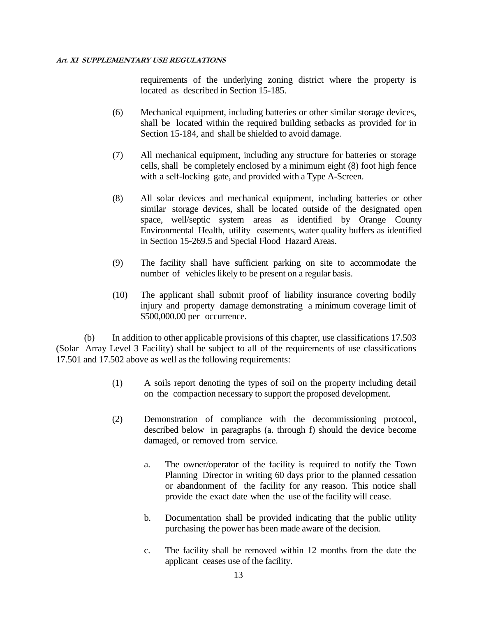requirements of the underlying zoning district where the property is located as described in Section 15-185.

- (6) Mechanical equipment, including batteries or other similar storage devices, shall be located within the required building setbacks as provided for in Section 15-184, and shall be shielded to avoid damage.
- (7) All mechanical equipment, including any structure for batteries or storage cells, shall be completely enclosed by a minimum eight (8) foot high fence with a self-locking gate, and provided with a Type A-Screen.
- (8) All solar devices and mechanical equipment, including batteries or other similar storage devices, shall be located outside of the designated open space, well/septic system areas as identified by Orange County Environmental Health, utility easements, water quality buffers as identified in Section 15-269.5 and Special Flood Hazard Areas.
- (9) The facility shall have sufficient parking on site to accommodate the number of vehicles likely to be present on a regular basis.
- (10) The applicant shall submit proof of liability insurance covering bodily injury and property damage demonstrating a minimum coverage limit of \$500,000.00 per occurrence.

(b) In addition to other applicable provisions of this chapter, use classifications 17.503 (Solar Array Level 3 Facility) shall be subject to all of the requirements of use classifications 17.501 and 17.502 above as well as the following requirements:

- (1) A soils report denoting the types of soil on the property including detail on the compaction necessary to support the proposed development.
- (2) Demonstration of compliance with the decommissioning protocol, described below in paragraphs (a. through f) should the device become damaged, or removed from service.
	- a. The owner/operator of the facility is required to notify the Town Planning Director in writing 60 days prior to the planned cessation or abandonment of the facility for any reason. This notice shall provide the exact date when the use of the facility will cease.
	- b. Documentation shall be provided indicating that the public utility purchasing the power has been made aware of the decision.
	- c. The facility shall be removed within 12 months from the date the applicant ceases use of the facility.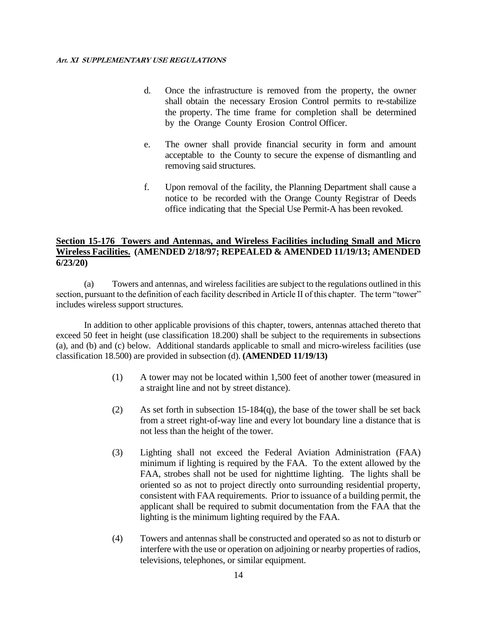- d. Once the infrastructure is removed from the property, the owner shall obtain the necessary Erosion Control permits to re-stabilize the property. The time frame for completion shall be determined by the Orange County Erosion Control Officer.
- e. The owner shall provide financial security in form and amount acceptable to the County to secure the expense of dismantling and removing said structures.
- f. Upon removal of the facility, the Planning Department shall cause a notice to be recorded with the Orange County Registrar of Deeds office indicating that the Special Use Permit-A has been revoked.

### **Section 15-176 Towers and Antennas, and Wireless Facilities including Small and Micro Wireless Facilities. (AMENDED 2/18/97; REPEALED & AMENDED 11/19/13; AMENDED 6/23/20)**

(a) Towers and antennas, and wireless facilities are subject to the regulations outlined in this section, pursuant to the definition of each facility described in Article II of this chapter. The term "tower" includes wireless support structures.

In addition to other applicable provisions of this chapter, towers, antennas attached thereto that exceed 50 feet in height (use classification 18.200) shall be subject to the requirements in subsections (a), and (b) and (c) below. Additional standards applicable to small and micro-wireless facilities (use classification 18.500) are provided in subsection (d). **(AMENDED 11/19/13)**

- (1) A tower may not be located within 1,500 feet of another tower (measured in a straight line and not by street distance).
- (2) As set forth in subsection 15-184(q), the base of the tower shall be set back from a street right-of-way line and every lot boundary line a distance that is not less than the height of the tower.
- (3) Lighting shall not exceed the Federal Aviation Administration (FAA) minimum if lighting is required by the FAA. To the extent allowed by the FAA, strobes shall not be used for nighttime lighting. The lights shall be oriented so as not to project directly onto surrounding residential property, consistent with FAA requirements. Prior to issuance of a building permit, the applicant shall be required to submit documentation from the FAA that the lighting is the minimum lighting required by the FAA.
- (4) Towers and antennas shall be constructed and operated so as not to disturb or interfere with the use or operation on adjoining or nearby properties of radios, televisions, telephones, or similar equipment.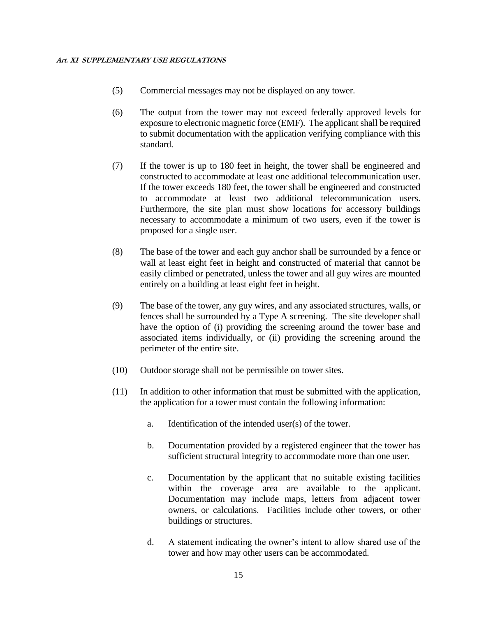- (5) Commercial messages may not be displayed on any tower.
- (6) The output from the tower may not exceed federally approved levels for exposure to electronic magnetic force (EMF). The applicant shall be required to submit documentation with the application verifying compliance with this standard.
- (7) If the tower is up to 180 feet in height, the tower shall be engineered and constructed to accommodate at least one additional telecommunication user. If the tower exceeds 180 feet, the tower shall be engineered and constructed to accommodate at least two additional telecommunication users. Furthermore, the site plan must show locations for accessory buildings necessary to accommodate a minimum of two users, even if the tower is proposed for a single user.
- (8) The base of the tower and each guy anchor shall be surrounded by a fence or wall at least eight feet in height and constructed of material that cannot be easily climbed or penetrated, unless the tower and all guy wires are mounted entirely on a building at least eight feet in height.
- (9) The base of the tower, any guy wires, and any associated structures, walls, or fences shall be surrounded by a Type A screening. The site developer shall have the option of (i) providing the screening around the tower base and associated items individually, or (ii) providing the screening around the perimeter of the entire site.
- (10) Outdoor storage shall not be permissible on tower sites.
- (11) In addition to other information that must be submitted with the application, the application for a tower must contain the following information:
	- a. Identification of the intended user(s) of the tower.
	- b. Documentation provided by a registered engineer that the tower has sufficient structural integrity to accommodate more than one user.
	- c. Documentation by the applicant that no suitable existing facilities within the coverage area are available to the applicant. Documentation may include maps, letters from adjacent tower owners, or calculations. Facilities include other towers, or other buildings or structures.
	- d. A statement indicating the owner's intent to allow shared use of the tower and how may other users can be accommodated.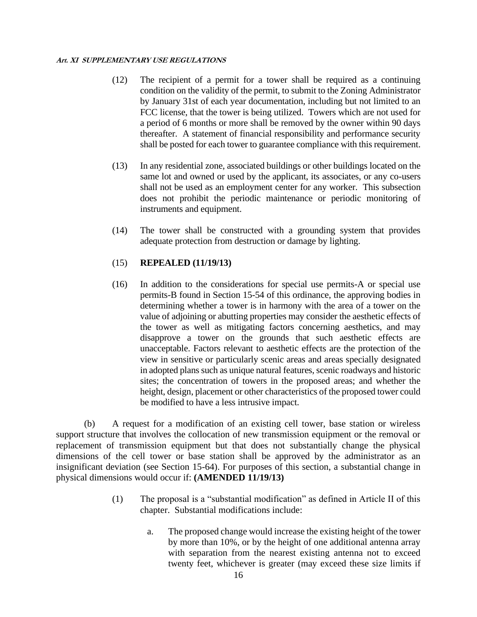- (12) The recipient of a permit for a tower shall be required as a continuing condition on the validity of the permit, to submit to the Zoning Administrator by January 31st of each year documentation, including but not limited to an FCC license, that the tower is being utilized. Towers which are not used for a period of 6 months or more shall be removed by the owner within 90 days thereafter. A statement of financial responsibility and performance security shall be posted for each tower to guarantee compliance with this requirement.
- (13) In any residential zone, associated buildings or other buildings located on the same lot and owned or used by the applicant, its associates, or any co-users shall not be used as an employment center for any worker. This subsection does not prohibit the periodic maintenance or periodic monitoring of instruments and equipment.
- (14) The tower shall be constructed with a grounding system that provides adequate protection from destruction or damage by lighting.

### (15) **REPEALED (11/19/13)**

(16) In addition to the considerations for special use permits-A or special use permits-B found in Section 15-54 of this ordinance, the approving bodies in determining whether a tower is in harmony with the area of a tower on the value of adjoining or abutting properties may consider the aesthetic effects of the tower as well as mitigating factors concerning aesthetics, and may disapprove a tower on the grounds that such aesthetic effects are unacceptable. Factors relevant to aesthetic effects are the protection of the view in sensitive or particularly scenic areas and areas specially designated in adopted plans such as unique natural features, scenic roadways and historic sites; the concentration of towers in the proposed areas; and whether the height, design, placement or other characteristics of the proposed tower could be modified to have a less intrusive impact.

(b) A request for a modification of an existing cell tower, base station or wireless support structure that involves the collocation of new transmission equipment or the removal or replacement of transmission equipment but that does not substantially change the physical dimensions of the cell tower or base station shall be approved by the administrator as an insignificant deviation (see Section 15-64). For purposes of this section, a substantial change in physical dimensions would occur if: **(AMENDED 11/19/13)**

- (1) The proposal is a "substantial modification" as defined in Article II of this chapter. Substantial modifications include:
	- a. The proposed change would increase the existing height of the tower by more than 10%, or by the height of one additional antenna array with separation from the nearest existing antenna not to exceed twenty feet, whichever is greater (may exceed these size limits if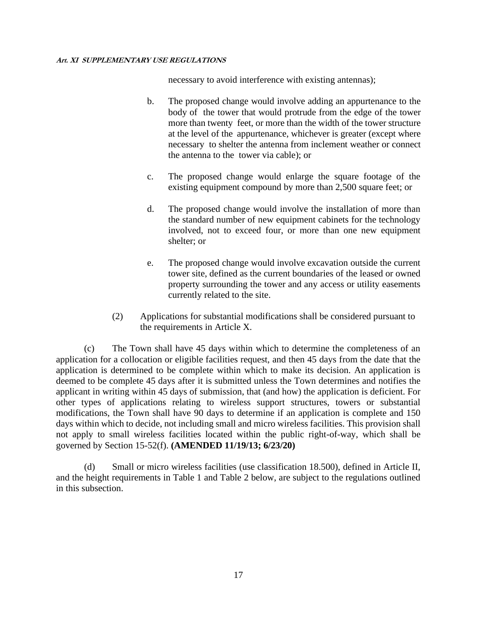necessary to avoid interference with existing antennas);

- b. The proposed change would involve adding an appurtenance to the body of the tower that would protrude from the edge of the tower more than twenty feet, or more than the width of the tower structure at the level of the appurtenance, whichever is greater (except where necessary to shelter the antenna from inclement weather or connect the antenna to the tower via cable); or
- c. The proposed change would enlarge the square footage of the existing equipment compound by more than 2,500 square feet; or
- d. The proposed change would involve the installation of more than the standard number of new equipment cabinets for the technology involved, not to exceed four, or more than one new equipment shelter; or
- e. The proposed change would involve excavation outside the current tower site, defined as the current boundaries of the leased or owned property surrounding the tower and any access or utility easements currently related to the site.
- (2) Applications for substantial modifications shall be considered pursuant to the requirements in Article X.

(c) The Town shall have 45 days within which to determine the completeness of an application for a collocation or eligible facilities request, and then 45 days from the date that the application is determined to be complete within which to make its decision. An application is deemed to be complete 45 days after it is submitted unless the Town determines and notifies the applicant in writing within 45 days of submission, that (and how) the application is deficient. For other types of applications relating to wireless support structures, towers or substantial modifications, the Town shall have 90 days to determine if an application is complete and 150 days within which to decide, not including small and micro wireless facilities. This provision shall not apply to small wireless facilities located within the public right-of-way, which shall be governed by Section 15-52(f). **(AMENDED 11/19/13; 6/23/20)**

(d) Small or micro wireless facilities (use classification 18.500), defined in Article II, and the height requirements in Table 1 and Table 2 below, are subject to the regulations outlined in this subsection.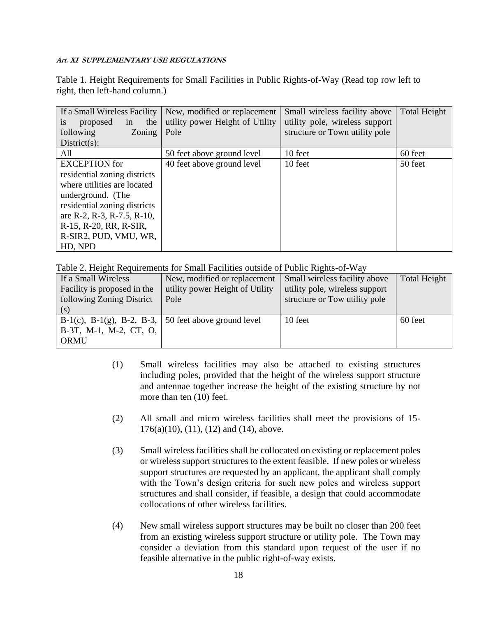Table 1. Height Requirements for Small Facilities in Public Rights-of-Way (Read top row left to right, then left-hand column.)

| If a Small Wireless Facility<br>the<br>proposed<br>in<br>1S | New, modified or replacement<br>utility power Height of Utility | Small wireless facility above<br>utility pole, wireless support | <b>Total Height</b> |
|-------------------------------------------------------------|-----------------------------------------------------------------|-----------------------------------------------------------------|---------------------|
| following<br>Zoning                                         | Pole                                                            | structure or Town utility pole                                  |                     |
| $District(s)$ :                                             |                                                                 |                                                                 |                     |
| All                                                         | 50 feet above ground level                                      | 10 feet                                                         | 60 feet             |
| <b>EXCEPTION</b> for                                        | 40 feet above ground level                                      | 10 feet                                                         | 50 feet             |
| residential zoning districts                                |                                                                 |                                                                 |                     |
| where utilities are located                                 |                                                                 |                                                                 |                     |
| underground. (The                                           |                                                                 |                                                                 |                     |
| residential zoning districts                                |                                                                 |                                                                 |                     |
| are R-2, R-3, R-7.5, R-10,                                  |                                                                 |                                                                 |                     |
| R-15, R-20, RR, R-SIR,                                      |                                                                 |                                                                 |                     |
| R-SIR2, PUD, VMU, WR,                                       |                                                                 |                                                                 |                     |
| HD, NPD                                                     |                                                                 |                                                                 |                     |

Table 2. Height Requirements for Small Facilities outside of Public Rights-of-Way

| If a Small Wireless                                          | New, modified or replacement    | Small wireless facility above  | <b>Total Height</b> |
|--------------------------------------------------------------|---------------------------------|--------------------------------|---------------------|
| Facility is proposed in the                                  | utility power Height of Utility | utility pole, wireless support |                     |
| following Zoning District                                    | Pole                            | structure or Tow utility pole  |                     |
| (s)                                                          |                                 |                                |                     |
| B-1(c), B-1(g), B-2, B-3, $\vert$ 50 feet above ground level |                                 | 10 feet                        | 60 feet             |
| B-3T, M-1, M-2, CT, O,                                       |                                 |                                |                     |
| ORMU                                                         |                                 |                                |                     |

- (1) Small wireless facilities may also be attached to existing structures including poles, provided that the height of the wireless support structure and antennae together increase the height of the existing structure by not more than ten (10) feet.
- (2) All small and micro wireless facilities shall meet the provisions of 15- 176(a)(10), (11), (12) and (14), above.
- (3) Small wireless facilities shall be collocated on existing or replacement poles or wireless support structures to the extent feasible. If new poles or wireless support structures are requested by an applicant, the applicant shall comply with the Town's design criteria for such new poles and wireless support structures and shall consider, if feasible, a design that could accommodate collocations of other wireless facilities.
- (4) New small wireless support structures may be built no closer than 200 feet from an existing wireless support structure or utility pole. The Town may consider a deviation from this standard upon request of the user if no feasible alternative in the public right-of-way exists.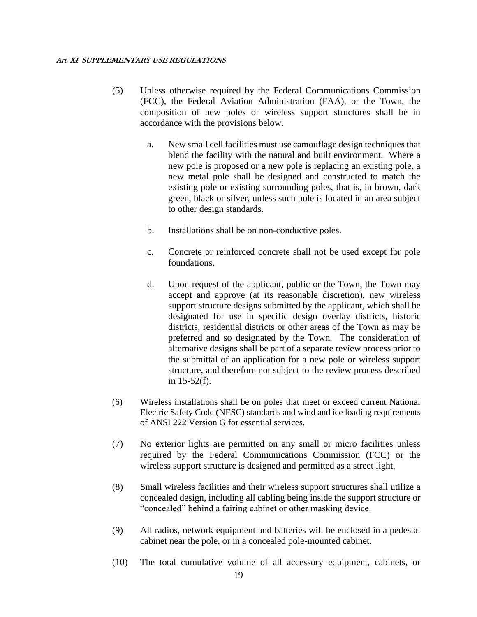- (5) Unless otherwise required by the Federal Communications Commission (FCC), the Federal Aviation Administration (FAA), or the Town, the composition of new poles or wireless support structures shall be in accordance with the provisions below.
	- a. New small cell facilities must use camouflage design techniques that blend the facility with the natural and built environment. Where a new pole is proposed or a new pole is replacing an existing pole, a new metal pole shall be designed and constructed to match the existing pole or existing surrounding poles, that is, in brown, dark green, black or silver, unless such pole is located in an area subject to other design standards.
	- b. Installations shall be on non-conductive poles.
	- c. Concrete or reinforced concrete shall not be used except for pole foundations.
	- d. Upon request of the applicant, public or the Town, the Town may accept and approve (at its reasonable discretion), new wireless support structure designs submitted by the applicant, which shall be designated for use in specific design overlay districts, historic districts, residential districts or other areas of the Town as may be preferred and so designated by the Town. The consideration of alternative designs shall be part of a separate review process prior to the submittal of an application for a new pole or wireless support structure, and therefore not subject to the review process described in 15-52(f).
- (6) Wireless installations shall be on poles that meet or exceed current National Electric Safety Code (NESC) standards and wind and ice loading requirements of ANSI 222 Version G for essential services.
- (7) No exterior lights are permitted on any small or micro facilities unless required by the Federal Communications Commission (FCC) or the wireless support structure is designed and permitted as a street light.
- (8) Small wireless facilities and their wireless support structures shall utilize a concealed design, including all cabling being inside the support structure or "concealed" behind a fairing cabinet or other masking device.
- (9) All radios, network equipment and batteries will be enclosed in a pedestal cabinet near the pole, or in a concealed pole-mounted cabinet.
- (10) The total cumulative volume of all accessory equipment, cabinets, or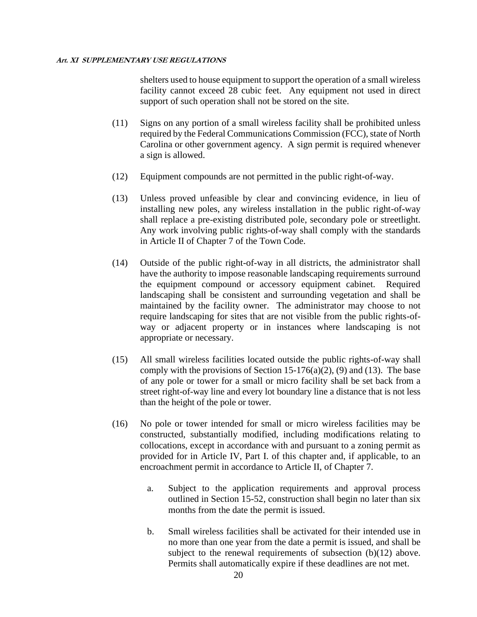shelters used to house equipment to support the operation of a small wireless facility cannot exceed 28 cubic feet. Any equipment not used in direct support of such operation shall not be stored on the site.

- (11) Signs on any portion of a small wireless facility shall be prohibited unless required by the Federal Communications Commission (FCC), state of North Carolina or other government agency. A sign permit is required whenever a sign is allowed.
- (12) Equipment compounds are not permitted in the public right-of-way.
- (13) Unless proved unfeasible by clear and convincing evidence, in lieu of installing new poles, any wireless installation in the public right-of-way shall replace a pre-existing distributed pole, secondary pole or streetlight. Any work involving public rights-of-way shall comply with the standards in Article II of Chapter 7 of the Town Code.
- (14) Outside of the public right-of-way in all districts, the administrator shall have the authority to impose reasonable landscaping requirements surround the equipment compound or accessory equipment cabinet. Required landscaping shall be consistent and surrounding vegetation and shall be maintained by the facility owner. The administrator may choose to not require landscaping for sites that are not visible from the public rights-ofway or adjacent property or in instances where landscaping is not appropriate or necessary.
- (15) All small wireless facilities located outside the public rights-of-way shall comply with the provisions of Section 15-176(a)(2), (9) and (13). The base of any pole or tower for a small or micro facility shall be set back from a street right-of-way line and every lot boundary line a distance that is not less than the height of the pole or tower.
- (16) No pole or tower intended for small or micro wireless facilities may be constructed, substantially modified, including modifications relating to collocations, except in accordance with and pursuant to a zoning permit as provided for in Article IV, Part I. of this chapter and, if applicable, to an encroachment permit in accordance to Article II, of Chapter 7.
	- a. Subject to the application requirements and approval process outlined in Section 15-52, construction shall begin no later than six months from the date the permit is issued.
	- b. Small wireless facilities shall be activated for their intended use in no more than one year from the date a permit is issued, and shall be subject to the renewal requirements of subsection  $(b)(12)$  above. Permits shall automatically expire if these deadlines are not met.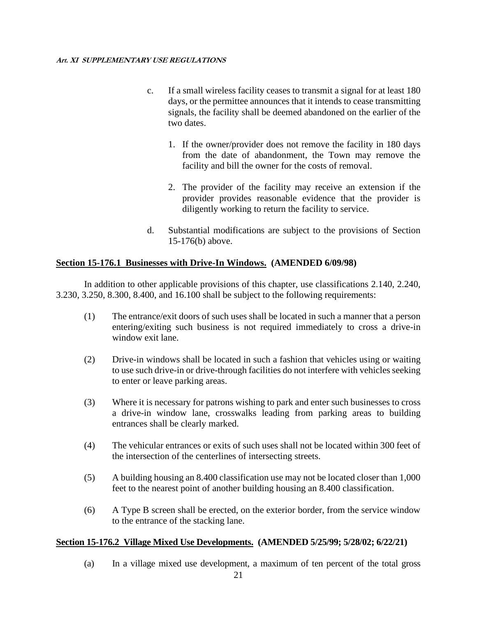- c. If a small wireless facility ceases to transmit a signal for at least 180 days, or the permittee announces that it intends to cease transmitting signals, the facility shall be deemed abandoned on the earlier of the two dates.
	- 1. If the owner/provider does not remove the facility in 180 days from the date of abandonment, the Town may remove the facility and bill the owner for the costs of removal.
	- 2. The provider of the facility may receive an extension if the provider provides reasonable evidence that the provider is diligently working to return the facility to service.
- d. Substantial modifications are subject to the provisions of Section 15-176(b) above.

### **Section 15-176.1 Businesses with Drive-In Windows. (AMENDED 6/09/98)**

In addition to other applicable provisions of this chapter, use classifications 2.140, 2.240, 3.230, 3.250, 8.300, 8.400, and 16.100 shall be subject to the following requirements:

- (1) The entrance/exit doors of such uses shall be located in such a manner that a person entering/exiting such business is not required immediately to cross a drive-in window exit lane.
- (2) Drive-in windows shall be located in such a fashion that vehicles using or waiting to use such drive-in or drive-through facilities do not interfere with vehicles seeking to enter or leave parking areas.
- (3) Where it is necessary for patrons wishing to park and enter such businesses to cross a drive-in window lane, crosswalks leading from parking areas to building entrances shall be clearly marked.
- (4) The vehicular entrances or exits of such uses shall not be located within 300 feet of the intersection of the centerlines of intersecting streets.
- (5) A building housing an 8.400 classification use may not be located closer than 1,000 feet to the nearest point of another building housing an 8.400 classification.
- (6) A Type B screen shall be erected, on the exterior border, from the service window to the entrance of the stacking lane.

### **Section 15-176.2 Village Mixed Use Developments. (AMENDED 5/25/99; 5/28/02; 6/22/21)**

(a) In a village mixed use development, a maximum of ten percent of the total gross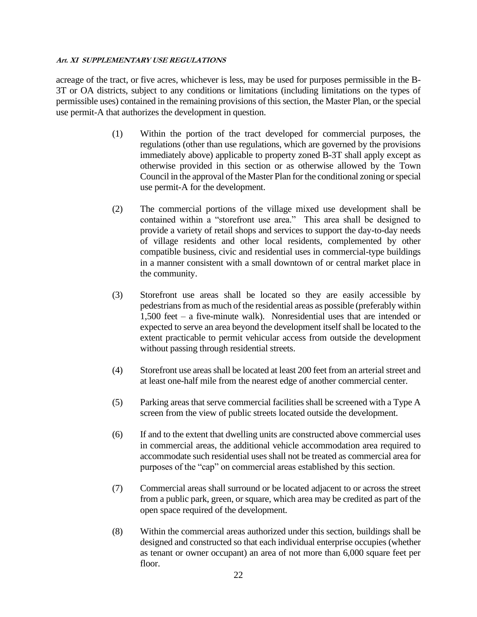acreage of the tract, or five acres, whichever is less, may be used for purposes permissible in the B-3T or OA districts, subject to any conditions or limitations (including limitations on the types of permissible uses) contained in the remaining provisions of this section, the Master Plan, or the special use permit-A that authorizes the development in question.

- (1) Within the portion of the tract developed for commercial purposes, the regulations (other than use regulations, which are governed by the provisions immediately above) applicable to property zoned B-3T shall apply except as otherwise provided in this section or as otherwise allowed by the Town Council in the approval of the Master Plan for the conditional zoning or special use permit-A for the development.
- (2) The commercial portions of the village mixed use development shall be contained within a "storefront use area." This area shall be designed to provide a variety of retail shops and services to support the day-to-day needs of village residents and other local residents, complemented by other compatible business, civic and residential uses in commercial-type buildings in a manner consistent with a small downtown of or central market place in the community.
- (3) Storefront use areas shall be located so they are easily accessible by pedestrians from as much of the residential areas as possible (preferably within 1,500 feet – a five-minute walk). Nonresidential uses that are intended or expected to serve an area beyond the development itself shall be located to the extent practicable to permit vehicular access from outside the development without passing through residential streets.
- (4) Storefront use areas shall be located at least 200 feet from an arterial street and at least one-half mile from the nearest edge of another commercial center.
- (5) Parking areas that serve commercial facilities shall be screened with a Type A screen from the view of public streets located outside the development.
- (6) If and to the extent that dwelling units are constructed above commercial uses in commercial areas, the additional vehicle accommodation area required to accommodate such residential uses shall not be treated as commercial area for purposes of the "cap" on commercial areas established by this section.
- (7) Commercial areas shall surround or be located adjacent to or across the street from a public park, green, or square, which area may be credited as part of the open space required of the development.
- (8) Within the commercial areas authorized under this section, buildings shall be designed and constructed so that each individual enterprise occupies (whether as tenant or owner occupant) an area of not more than 6,000 square feet per floor.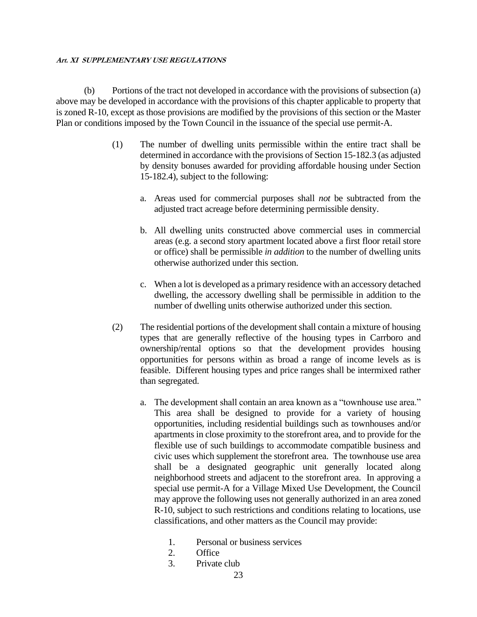(b) Portions of the tract not developed in accordance with the provisions of subsection (a) above may be developed in accordance with the provisions of this chapter applicable to property that is zoned R-10, except as those provisions are modified by the provisions of this section or the Master Plan or conditions imposed by the Town Council in the issuance of the special use permit-A.

- (1) The number of dwelling units permissible within the entire tract shall be determined in accordance with the provisions of Section 15-182.3 (as adjusted by density bonuses awarded for providing affordable housing under Section 15-182.4), subject to the following:
	- a. Areas used for commercial purposes shall *not* be subtracted from the adjusted tract acreage before determining permissible density.
	- b. All dwelling units constructed above commercial uses in commercial areas (e.g. a second story apartment located above a first floor retail store or office) shall be permissible *in addition* to the number of dwelling units otherwise authorized under this section.
	- c. When a lot is developed as a primary residence with an accessory detached dwelling, the accessory dwelling shall be permissible in addition to the number of dwelling units otherwise authorized under this section.
- (2) The residential portions of the development shall contain a mixture of housing types that are generally reflective of the housing types in Carrboro and ownership/rental options so that the development provides housing opportunities for persons within as broad a range of income levels as is feasible. Different housing types and price ranges shall be intermixed rather than segregated.
	- a. The development shall contain an area known as a "townhouse use area." This area shall be designed to provide for a variety of housing opportunities, including residential buildings such as townhouses and/or apartments in close proximity to the storefront area, and to provide for the flexible use of such buildings to accommodate compatible business and civic uses which supplement the storefront area. The townhouse use area shall be a designated geographic unit generally located along neighborhood streets and adjacent to the storefront area. In approving a special use permit-A for a Village Mixed Use Development, the Council may approve the following uses not generally authorized in an area zoned R-10, subject to such restrictions and conditions relating to locations, use classifications, and other matters as the Council may provide:
		- 1. Personal or business services
		- 2. Office
		- 3. Private club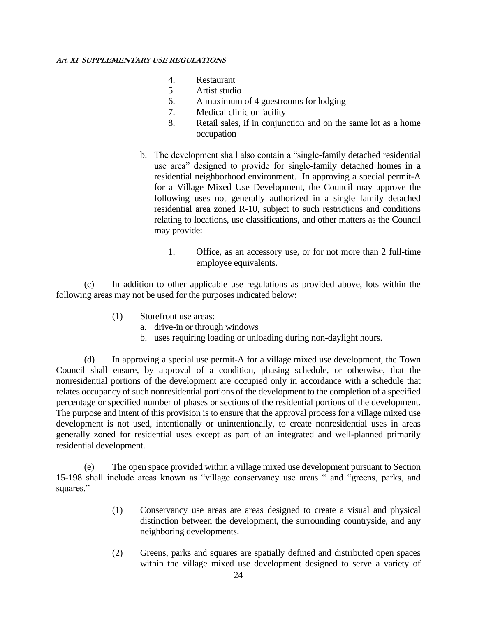- 4. Restaurant
- 5. Artist studio
- 6. A maximum of 4 guestrooms for lodging
- 7. Medical clinic or facility
- 8. Retail sales, if in conjunction and on the same lot as a home occupation
- b. The development shall also contain a "single-family detached residential use area" designed to provide for single-family detached homes in a residential neighborhood environment. In approving a special permit-A for a Village Mixed Use Development, the Council may approve the following uses not generally authorized in a single family detached residential area zoned R-10, subject to such restrictions and conditions relating to locations, use classifications, and other matters as the Council may provide:
	- 1. Office, as an accessory use, or for not more than 2 full-time employee equivalents.

(c) In addition to other applicable use regulations as provided above, lots within the following areas may not be used for the purposes indicated below:

- (1) Storefront use areas:
	- a. drive-in or through windows
	- b. uses requiring loading or unloading during non-daylight hours.

(d) In approving a special use permit-A for a village mixed use development, the Town Council shall ensure, by approval of a condition, phasing schedule, or otherwise, that the nonresidential portions of the development are occupied only in accordance with a schedule that relates occupancy of such nonresidential portions of the development to the completion of a specified percentage or specified number of phases or sections of the residential portions of the development. The purpose and intent of this provision is to ensure that the approval process for a village mixed use development is not used, intentionally or unintentionally, to create nonresidential uses in areas generally zoned for residential uses except as part of an integrated and well-planned primarily residential development.

(e) The open space provided within a village mixed use development pursuant to Section 15-198 shall include areas known as "village conservancy use areas " and "greens, parks, and squares."

- (1) Conservancy use areas are areas designed to create a visual and physical distinction between the development, the surrounding countryside, and any neighboring developments.
- (2) Greens, parks and squares are spatially defined and distributed open spaces within the village mixed use development designed to serve a variety of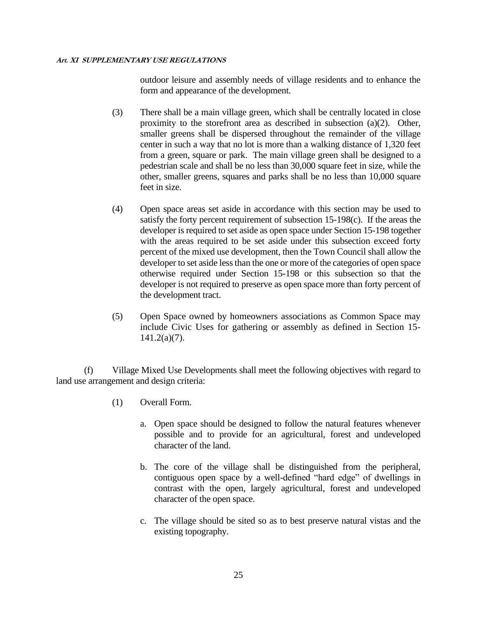outdoor leisure and assembly needs of village residents and to enhance the form and appearance of the development.

- (3) There shall be a main village green, which shall be centrally located in close proximity to the storefront area as described in subsection (a)(2). Other, smaller greens shall be dispersed throughout the remainder of the village center in such a way that no lot is more than a walking distance of 1,320 feet from a green, square or park. The main village green shall be designed to a pedestrian scale and shall be no less than 30,000 square feet in size, while the other, smaller greens, squares and parks shall be no less than 10,000 square feet in size.
- (4) Open space areas set aside in accordance with this section may be used to satisfy the forty percent requirement of subsection 15-198(c). If the areas the developer is required to set aside as open space under Section 15-198 together with the areas required to be set aside under this subsection exceed forty percent of the mixed use development, then the Town Council shall allow the developer to set aside less than the one or more of the categories of open space otherwise required under Section 15-198 or this subsection so that the developer is not required to preserve as open space more than forty percent of the development tract.
- (5) Open Space owned by homeowners associations as Common Space may include Civic Uses for gathering or assembly as defined in Section 15- 141.2(a)(7).

(f) Village Mixed Use Developments shall meet the following objectives with regard to land use arrangement and design criteria:

- (1) Overall Form.
	- a. Open space should be designed to follow the natural features whenever possible and to provide for an agricultural, forest and undeveloped character of the land.
	- b. The core of the village shall be distinguished from the peripheral, contiguous open space by a well-defined "hard edge" of dwellings in contrast with the open, largely agricultural, forest and undeveloped character of the open space.
	- c. The village should be sited so as to best preserve natural vistas and the existing topography.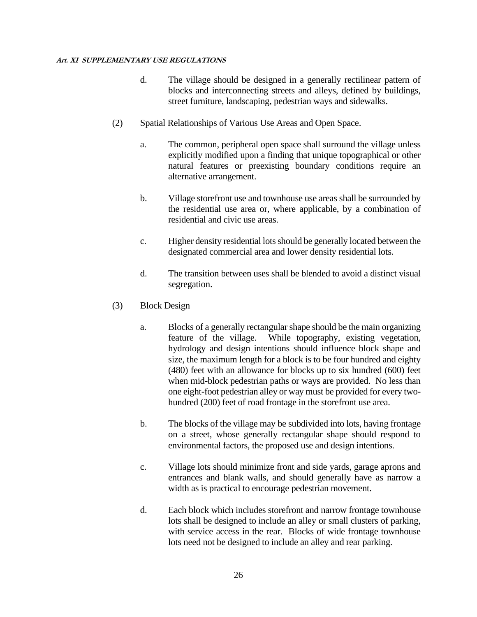- d. The village should be designed in a generally rectilinear pattern of blocks and interconnecting streets and alleys, defined by buildings, street furniture, landscaping, pedestrian ways and sidewalks.
- (2) Spatial Relationships of Various Use Areas and Open Space.
	- a. The common, peripheral open space shall surround the village unless explicitly modified upon a finding that unique topographical or other natural features or preexisting boundary conditions require an alternative arrangement.
	- b. Village storefront use and townhouse use areas shall be surrounded by the residential use area or, where applicable, by a combination of residential and civic use areas.
	- c. Higher density residential lots should be generally located between the designated commercial area and lower density residential lots.
	- d. The transition between uses shall be blended to avoid a distinct visual segregation.
- (3) Block Design
	- a. Blocks of a generally rectangular shape should be the main organizing feature of the village. While topography, existing vegetation, hydrology and design intentions should influence block shape and size, the maximum length for a block is to be four hundred and eighty (480) feet with an allowance for blocks up to six hundred (600) feet when mid-block pedestrian paths or ways are provided. No less than one eight-foot pedestrian alley or way must be provided for every twohundred (200) feet of road frontage in the storefront use area.
	- b. The blocks of the village may be subdivided into lots, having frontage on a street, whose generally rectangular shape should respond to environmental factors, the proposed use and design intentions.
	- c. Village lots should minimize front and side yards, garage aprons and entrances and blank walls, and should generally have as narrow a width as is practical to encourage pedestrian movement.
	- d. Each block which includes storefront and narrow frontage townhouse lots shall be designed to include an alley or small clusters of parking, with service access in the rear. Blocks of wide frontage townhouse lots need not be designed to include an alley and rear parking.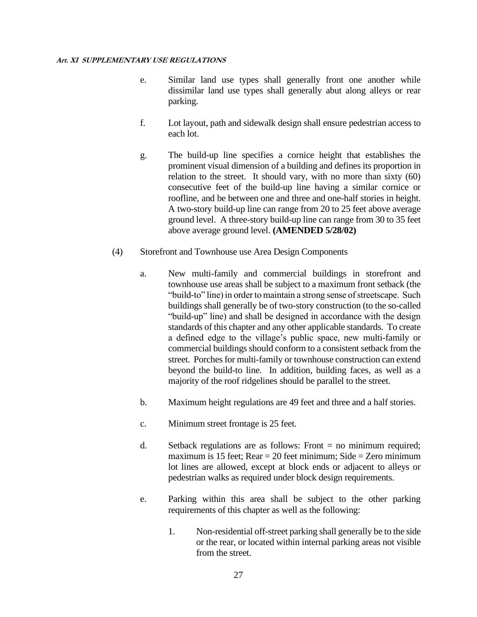- e. Similar land use types shall generally front one another while dissimilar land use types shall generally abut along alleys or rear parking.
- f. Lot layout, path and sidewalk design shall ensure pedestrian access to each lot.
- g. The build-up line specifies a cornice height that establishes the prominent visual dimension of a building and defines its proportion in relation to the street. It should vary, with no more than sixty (60) consecutive feet of the build-up line having a similar cornice or roofline, and be between one and three and one-half stories in height. A two-story build-up line can range from 20 to 25 feet above average ground level. A three-story build-up line can range from 30 to 35 feet above average ground level. **(AMENDED 5/28/02)**
- (4) Storefront and Townhouse use Area Design Components
	- a. New multi-family and commercial buildings in storefront and townhouse use areas shall be subject to a maximum front setback (the "build-to" line) in order to maintain a strong sense of streetscape. Such buildings shall generally be of two-story construction (to the so-called "build-up" line) and shall be designed in accordance with the design standards of this chapter and any other applicable standards. To create a defined edge to the village's public space, new multi-family or commercial buildings should conform to a consistent setback from the street. Porches for multi-family or townhouse construction can extend beyond the build-to line. In addition, building faces, as well as a majority of the roof ridgelines should be parallel to the street.
	- b. Maximum height regulations are 49 feet and three and a half stories.
	- c. Minimum street frontage is 25 feet.
	- d. Setback regulations are as follows: Front = no minimum required; maximum is 15 feet;  $Rear = 20$  feet minimum; Side = Zero minimum lot lines are allowed, except at block ends or adjacent to alleys or pedestrian walks as required under block design requirements.
	- e. Parking within this area shall be subject to the other parking requirements of this chapter as well as the following:
		- 1. Non-residential off-street parking shall generally be to the side or the rear, or located within internal parking areas not visible from the street.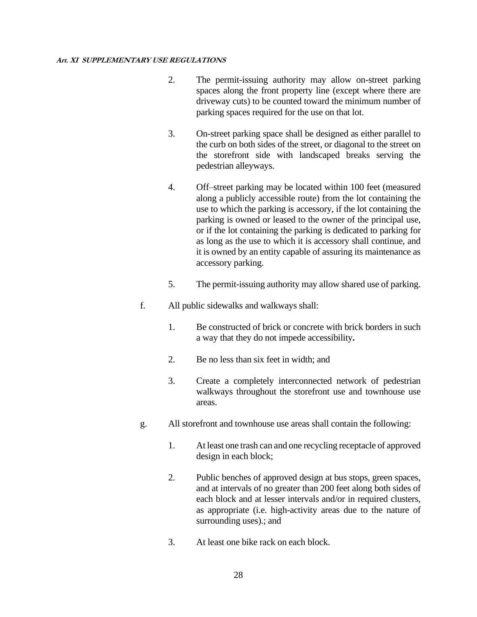- 2. The permit-issuing authority may allow on-street parking spaces along the front property line (except where there are driveway cuts) to be counted toward the minimum number of parking spaces required for the use on that lot.
- 3. On-street parking space shall be designed as either parallel to the curb on both sides of the street, or diagonal to the street on the storefront side with landscaped breaks serving the pedestrian alleyways.
- 4. Off–street parking may be located within 100 feet (measured along a publicly accessible route) from the lot containing the use to which the parking is accessory, if the lot containing the parking is owned or leased to the owner of the principal use, or if the lot containing the parking is dedicated to parking for as long as the use to which it is accessory shall continue, and it is owned by an entity capable of assuring its maintenance as accessory parking.
- 5. The permit-issuing authority may allow shared use of parking.
- f. All public sidewalks and walkways shall:
	- 1. Be constructed of brick or concrete with brick borders in such a way that they do not impede accessibility**.**
	- 2. Be no less than six feet in width; and
	- 3. Create a completely interconnected network of pedestrian walkways throughout the storefront use and townhouse use areas.
- g. All storefront and townhouse use areas shall contain the following:
	- 1. At least one trash can and one recycling receptacle of approved design in each block;
	- 2. Public benches of approved design at bus stops, green spaces, and at intervals of no greater than 200 feet along both sides of each block and at lesser intervals and/or in required clusters, as appropriate (i.e. high-activity areas due to the nature of surrounding uses).; and
	- 3. At least one bike rack on each block.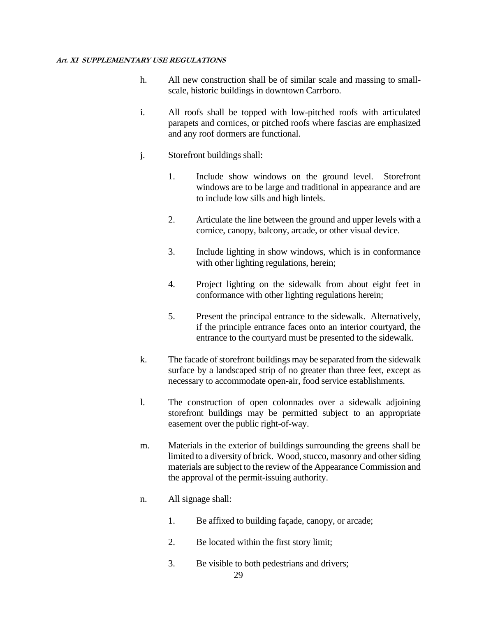- h. All new construction shall be of similar scale and massing to smallscale, historic buildings in downtown Carrboro.
- i. All roofs shall be topped with low-pitched roofs with articulated parapets and cornices, or pitched roofs where fascias are emphasized and any roof dormers are functional.
- j. Storefront buildings shall:
	- 1. Include show windows on the ground level. Storefront windows are to be large and traditional in appearance and are to include low sills and high lintels.
	- 2. Articulate the line between the ground and upper levels with a cornice, canopy, balcony, arcade, or other visual device.
	- 3. Include lighting in show windows, which is in conformance with other lighting regulations, herein;
	- 4. Project lighting on the sidewalk from about eight feet in conformance with other lighting regulations herein;
	- 5. Present the principal entrance to the sidewalk. Alternatively, if the principle entrance faces onto an interior courtyard, the entrance to the courtyard must be presented to the sidewalk.
- k. The facade of storefront buildings may be separated from the sidewalk surface by a landscaped strip of no greater than three feet, except as necessary to accommodate open-air, food service establishments.
- l. The construction of open colonnades over a sidewalk adjoining storefront buildings may be permitted subject to an appropriate easement over the public right-of-way.
- m. Materials in the exterior of buildings surrounding the greens shall be limited to a diversity of brick. Wood, stucco, masonry and other siding materials are subject to the review of the Appearance Commission and the approval of the permit-issuing authority.
- n. All signage shall:
	- 1. Be affixed to building façade, canopy, or arcade;
	- 2. Be located within the first story limit;
	- 3. Be visible to both pedestrians and drivers;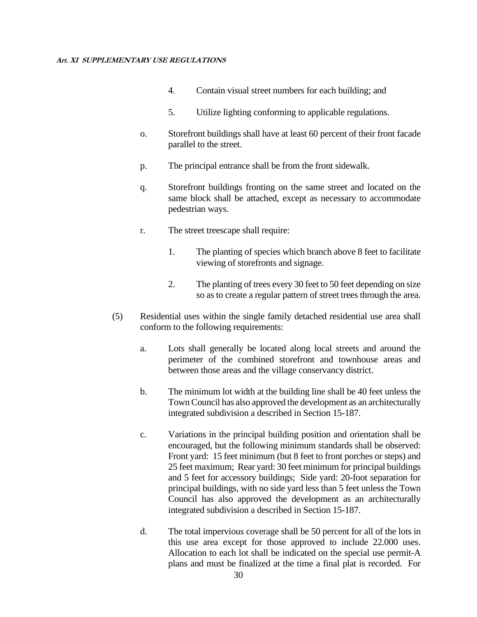- 4. Contain visual street numbers for each building; and
- 5. Utilize lighting conforming to applicable regulations.
- o. Storefront buildings shall have at least 60 percent of their front facade parallel to the street.
- p. The principal entrance shall be from the front sidewalk.
- q. Storefront buildings fronting on the same street and located on the same block shall be attached, except as necessary to accommodate pedestrian ways.
- r. The street treescape shall require:
	- 1. The planting of species which branch above 8 feet to facilitate viewing of storefronts and signage.
	- 2. The planting of trees every 30 feet to 50 feet depending on size so as to create a regular pattern of street trees through the area.
- (5) Residential uses within the single family detached residential use area shall conform to the following requirements:
	- a. Lots shall generally be located along local streets and around the perimeter of the combined storefront and townhouse areas and between those areas and the village conservancy district.
	- b. The minimum lot width at the building line shall be 40 feet unless the Town Council has also approved the development as an architecturally integrated subdivision a described in Section 15-187.
	- c. Variations in the principal building position and orientation shall be encouraged, but the following minimum standards shall be observed: Front yard: 15 feet minimum (but 8 feet to front porches or steps) and 25 feet maximum; Rear yard: 30 feet minimum for principal buildings and 5 feet for accessory buildings; Side yard: 20-foot separation for principal buildings, with no side yard less than 5 feet unless the Town Council has also approved the development as an architecturally integrated subdivision a described in Section 15-187.
	- d. The total impervious coverage shall be 50 percent for all of the lots in this use area except for those approved to include 22.000 uses. Allocation to each lot shall be indicated on the special use permit-A plans and must be finalized at the time a final plat is recorded. For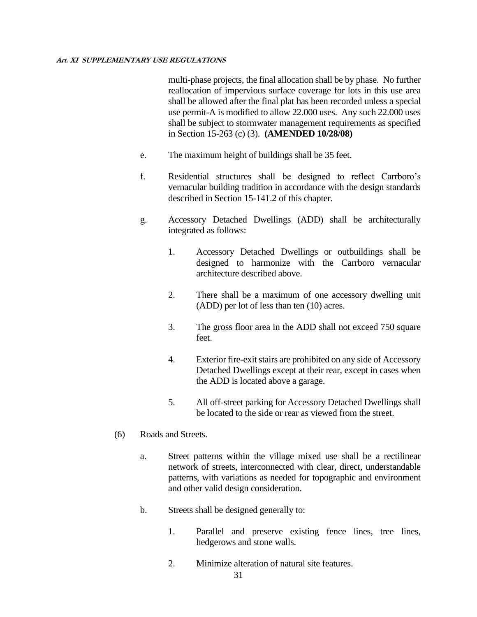multi-phase projects, the final allocation shall be by phase. No further reallocation of impervious surface coverage for lots in this use area shall be allowed after the final plat has been recorded unless a special use permit-A is modified to allow 22.000 uses. Any such 22.000 uses shall be subject to stormwater management requirements as specified in Section 15-263 (c) (3). **(AMENDED 10/28/08)**

- e. The maximum height of buildings shall be 35 feet.
- f. Residential structures shall be designed to reflect Carrboro's vernacular building tradition in accordance with the design standards described in Section 15-141.2 of this chapter.
- g. Accessory Detached Dwellings (ADD) shall be architecturally integrated as follows:
	- 1. Accessory Detached Dwellings or outbuildings shall be designed to harmonize with the Carrboro vernacular architecture described above.
	- 2. There shall be a maximum of one accessory dwelling unit (ADD) per lot of less than ten (10) acres.
	- 3. The gross floor area in the ADD shall not exceed 750 square feet.
	- 4. Exterior fire-exit stairs are prohibited on any side of Accessory Detached Dwellings except at their rear, except in cases when the ADD is located above a garage.
	- 5. All off-street parking for Accessory Detached Dwellings shall be located to the side or rear as viewed from the street.
- (6) Roads and Streets.
	- a. Street patterns within the village mixed use shall be a rectilinear network of streets, interconnected with clear, direct, understandable patterns, with variations as needed for topographic and environment and other valid design consideration.
	- b. Streets shall be designed generally to:
		- 1. Parallel and preserve existing fence lines, tree lines, hedgerows and stone walls.
		- 2. Minimize alteration of natural site features.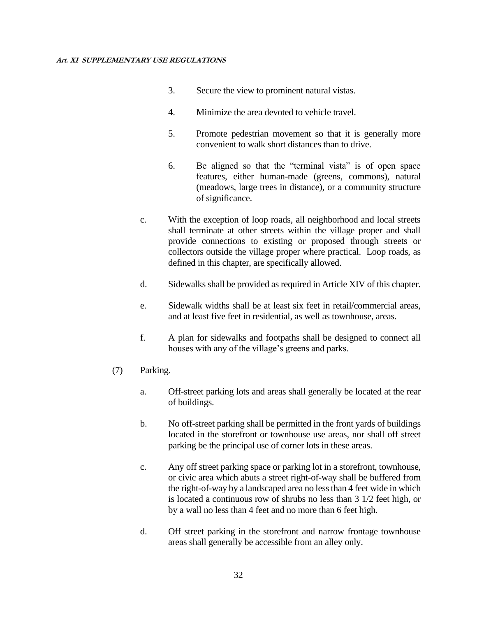- 3. Secure the view to prominent natural vistas.
- 4. Minimize the area devoted to vehicle travel.
- 5. Promote pedestrian movement so that it is generally more convenient to walk short distances than to drive.
- 6. Be aligned so that the "terminal vista" is of open space features, either human-made (greens, commons), natural (meadows, large trees in distance), or a community structure of significance.
- c. With the exception of loop roads, all neighborhood and local streets shall terminate at other streets within the village proper and shall provide connections to existing or proposed through streets or collectors outside the village proper where practical. Loop roads, as defined in this chapter, are specifically allowed.
- d. Sidewalks shall be provided as required in Article XIV of this chapter.
- e. Sidewalk widths shall be at least six feet in retail/commercial areas, and at least five feet in residential, as well as townhouse, areas.
- f. A plan for sidewalks and footpaths shall be designed to connect all houses with any of the village's greens and parks.
- (7) Parking.
	- a. Off-street parking lots and areas shall generally be located at the rear of buildings.
	- b. No off-street parking shall be permitted in the front yards of buildings located in the storefront or townhouse use areas, nor shall off street parking be the principal use of corner lots in these areas.
	- c. Any off street parking space or parking lot in a storefront, townhouse, or civic area which abuts a street right-of-way shall be buffered from the right-of-way by a landscaped area no less than 4 feet wide in which is located a continuous row of shrubs no less than 3 1/2 feet high, or by a wall no less than 4 feet and no more than 6 feet high.
	- d. Off street parking in the storefront and narrow frontage townhouse areas shall generally be accessible from an alley only.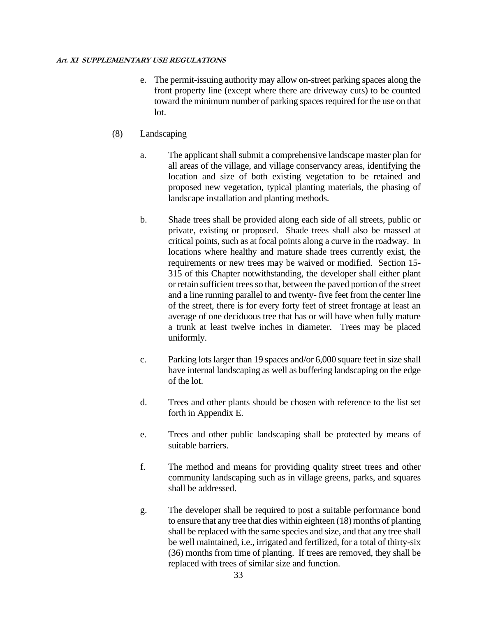- e. The permit-issuing authority may allow on-street parking spaces along the front property line (except where there are driveway cuts) to be counted toward the minimum number of parking spaces required for the use on that lot.
- (8) Landscaping
	- a. The applicant shall submit a comprehensive landscape master plan for all areas of the village, and village conservancy areas, identifying the location and size of both existing vegetation to be retained and proposed new vegetation, typical planting materials, the phasing of landscape installation and planting methods.
	- b. Shade trees shall be provided along each side of all streets, public or private, existing or proposed. Shade trees shall also be massed at critical points, such as at focal points along a curve in the roadway. In locations where healthy and mature shade trees currently exist, the requirements or new trees may be waived or modified. Section 15- 315 of this Chapter notwithstanding, the developer shall either plant or retain sufficient trees so that, between the paved portion of the street and a line running parallel to and twenty- five feet from the center line of the street, there is for every forty feet of street frontage at least an average of one deciduous tree that has or will have when fully mature a trunk at least twelve inches in diameter. Trees may be placed uniformly.
	- c. Parking lots larger than 19 spaces and/or 6,000 square feet in size shall have internal landscaping as well as buffering landscaping on the edge of the lot.
	- d. Trees and other plants should be chosen with reference to the list set forth in Appendix E.
	- e. Trees and other public landscaping shall be protected by means of suitable barriers.
	- f. The method and means for providing quality street trees and other community landscaping such as in village greens, parks, and squares shall be addressed.
	- g. The developer shall be required to post a suitable performance bond to ensure that any tree that dies within eighteen (18) months of planting shall be replaced with the same species and size, and that any tree shall be well maintained, i.e., irrigated and fertilized, for a total of thirty-six (36) months from time of planting. If trees are removed, they shall be replaced with trees of similar size and function.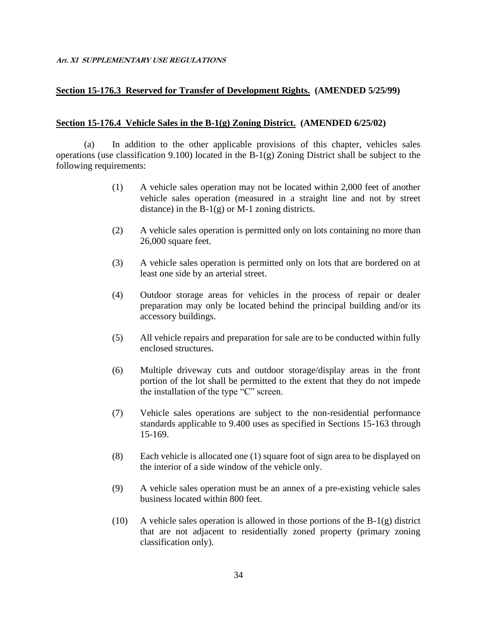### **Section 15-176.3 Reserved for Transfer of Development Rights. (AMENDED 5/25/99)**

### **Section 15-176.4 Vehicle Sales in the B-1(g) Zoning District. (AMENDED 6/25/02)**

(a) In addition to the other applicable provisions of this chapter, vehicles sales operations (use classification 9.100) located in the B-1(g) Zoning District shall be subject to the following requirements:

- (1) A vehicle sales operation may not be located within 2,000 feet of another vehicle sales operation (measured in a straight line and not by street distance) in the  $B-1(g)$  or M-1 zoning districts.
- (2) A vehicle sales operation is permitted only on lots containing no more than 26,000 square feet.
- (3) A vehicle sales operation is permitted only on lots that are bordered on at least one side by an arterial street.
- (4) Outdoor storage areas for vehicles in the process of repair or dealer preparation may only be located behind the principal building and/or its accessory buildings.
- (5) All vehicle repairs and preparation for sale are to be conducted within fully enclosed structures.
- (6) Multiple driveway cuts and outdoor storage/display areas in the front portion of the lot shall be permitted to the extent that they do not impede the installation of the type "C" screen.
- (7) Vehicle sales operations are subject to the non-residential performance standards applicable to 9.400 uses as specified in Sections 15-163 through 15-169.
- (8) Each vehicle is allocated one (1) square foot of sign area to be displayed on the interior of a side window of the vehicle only.
- (9) A vehicle sales operation must be an annex of a pre-existing vehicle sales business located within 800 feet.
- (10) A vehicle sales operation is allowed in those portions of the  $B-1(g)$  district that are not adjacent to residentially zoned property (primary zoning classification only).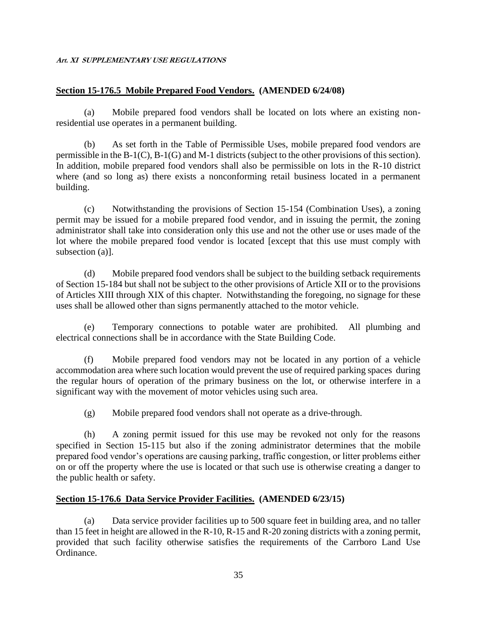# **Section 15-176.5 Mobile Prepared Food Vendors. (AMENDED 6/24/08)**

(a) Mobile prepared food vendors shall be located on lots where an existing nonresidential use operates in a permanent building.

(b) As set forth in the Table of Permissible Uses, mobile prepared food vendors are permissible in the B-1(C), B-1(G) and M-1 districts (subject to the other provisions of this section). In addition, mobile prepared food vendors shall also be permissible on lots in the R-10 district where (and so long as) there exists a nonconforming retail business located in a permanent building.

(c) Notwithstanding the provisions of Section 15-154 (Combination Uses), a zoning permit may be issued for a mobile prepared food vendor, and in issuing the permit, the zoning administrator shall take into consideration only this use and not the other use or uses made of the lot where the mobile prepared food vendor is located [except that this use must comply with subsection (a)].

(d) Mobile prepared food vendors shall be subject to the building setback requirements of Section 15-184 but shall not be subject to the other provisions of Article XII or to the provisions of Articles XIII through XIX of this chapter. Notwithstanding the foregoing, no signage for these uses shall be allowed other than signs permanently attached to the motor vehicle.

(e) Temporary connections to potable water are prohibited. All plumbing and electrical connections shall be in accordance with the State Building Code.

(f) Mobile prepared food vendors may not be located in any portion of a vehicle accommodation area where such location would prevent the use of required parking spaces during the regular hours of operation of the primary business on the lot, or otherwise interfere in a significant way with the movement of motor vehicles using such area.

(g) Mobile prepared food vendors shall not operate as a drive-through.

(h) A zoning permit issued for this use may be revoked not only for the reasons specified in Section 15-115 but also if the zoning administrator determines that the mobile prepared food vendor's operations are causing parking, traffic congestion, or litter problems either on or off the property where the use is located or that such use is otherwise creating a danger to the public health or safety.

# **Section 15-176.6 Data Service Provider Facilities. (AMENDED 6/23/15)**

(a) Data service provider facilities up to 500 square feet in building area, and no taller than 15 feet in height are allowed in the R-10, R-15 and R-20 zoning districts with a zoning permit, provided that such facility otherwise satisfies the requirements of the Carrboro Land Use Ordinance.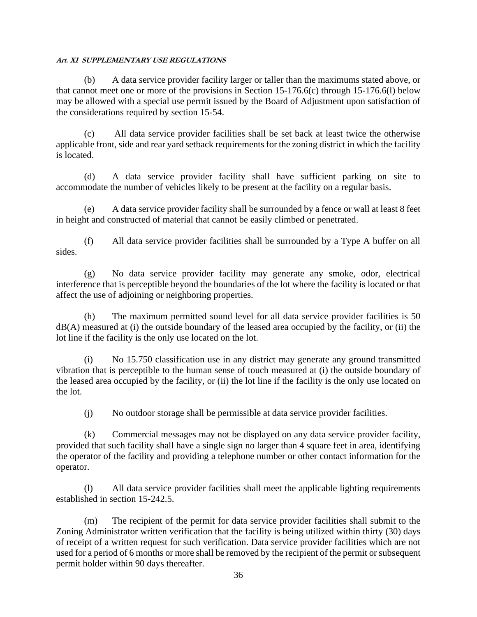(b) A data service provider facility larger or taller than the maximums stated above, or that cannot meet one or more of the provisions in Section 15-176.6(c) through 15-176.6(l) below may be allowed with a special use permit issued by the Board of Adjustment upon satisfaction of the considerations required by section 15-54.

(c) All data service provider facilities shall be set back at least twice the otherwise applicable front, side and rear yard setback requirements for the zoning district in which the facility is located.

(d) A data service provider facility shall have sufficient parking on site to accommodate the number of vehicles likely to be present at the facility on a regular basis.

(e) A data service provider facility shall be surrounded by a fence or wall at least 8 feet in height and constructed of material that cannot be easily climbed or penetrated.

(f) All data service provider facilities shall be surrounded by a Type A buffer on all sides.

(g) No data service provider facility may generate any smoke, odor, electrical interference that is perceptible beyond the boundaries of the lot where the facility is located or that affect the use of adjoining or neighboring properties.

(h) The maximum permitted sound level for all data service provider facilities is 50  $dB(A)$  measured at (i) the outside boundary of the leased area occupied by the facility, or (ii) the lot line if the facility is the only use located on the lot.

(i) No 15.750 classification use in any district may generate any ground transmitted vibration that is perceptible to the human sense of touch measured at (i) the outside boundary of the leased area occupied by the facility, or (ii) the lot line if the facility is the only use located on the lot.

(j) No outdoor storage shall be permissible at data service provider facilities.

(k) Commercial messages may not be displayed on any data service provider facility, provided that such facility shall have a single sign no larger than 4 square feet in area, identifying the operator of the facility and providing a telephone number or other contact information for the operator.

(l) All data service provider facilities shall meet the applicable lighting requirements established in section 15-242.5.

(m) The recipient of the permit for data service provider facilities shall submit to the Zoning Administrator written verification that the facility is being utilized within thirty (30) days of receipt of a written request for such verification. Data service provider facilities which are not used for a period of 6 months or more shall be removed by the recipient of the permit or subsequent permit holder within 90 days thereafter.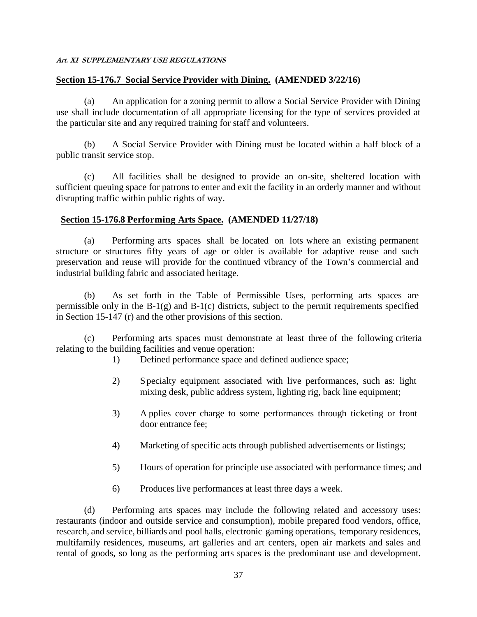### **Section 15-176.7 Social Service Provider with Dining. (AMENDED 3/22/16)**

(a) An application for a zoning permit to allow a Social Service Provider with Dining use shall include documentation of all appropriate licensing for the type of services provided at the particular site and any required training for staff and volunteers.

(b) A Social Service Provider with Dining must be located within a half block of a public transit service stop.

(c) All facilities shall be designed to provide an on-site, sheltered location with sufficient queuing space for patrons to enter and exit the facility in an orderly manner and without disrupting traffic within public rights of way.

### **Section 15-176.8 Performing Arts Space. (AMENDED 11/27/18)**

(a) Performing arts spaces shall be located on lots where an existing permanent structure or structures fifty years of age or older is available for adaptive reuse and such preservation and reuse will provide for the continued vibrancy of the Town's commercial and industrial building fabric and associated heritage.

(b) As set forth in the Table of Permissible Uses, performing arts spaces are permissible only in the B-1(g) and B-1(c) districts, subject to the permit requirements specified in Section 15-147 (r) and the other provisions of this section.

(c) Performing arts spaces must demonstrate at least three of the following criteria relating to the building facilities and venue operation:

- 1) Defined performance space and defined audience space;
- 2) Specialty equipment associated with live performances, such as: light mixing desk, public address system, lighting rig, back line equipment;
- 3) A pplies cover charge to some performances through ticketing or front door entrance fee;
- 4) Marketing of specific acts through published advertisements or listings;
- 5) Hours of operation for principle use associated with performance times; and
- 6) Produces live performances at least three days a week.

(d) Performing arts spaces may include the following related and accessory uses: restaurants (indoor and outside service and consumption), mobile prepared food vendors, office, research, and service, billiards and pool halls, electronic gaming operations, temporary residences, multifamily residences, museums, art galleries and art centers, open air markets and sales and rental of goods, so long as the performing arts spaces is the predominant use and development.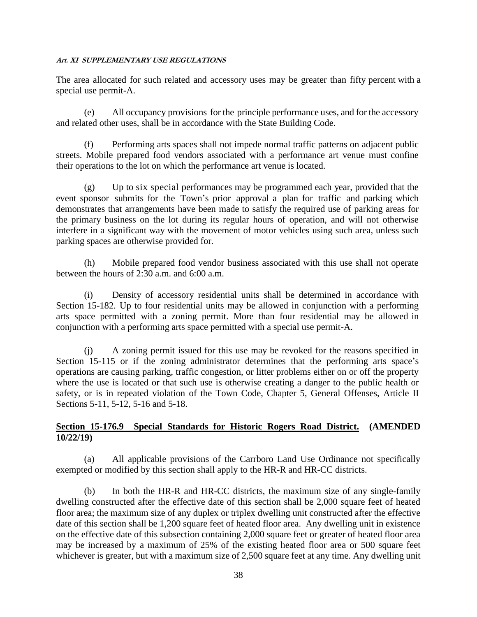The area allocated for such related and accessory uses may be greater than fifty percent with a special use permit-A.

(e) All occupancy provisions for the principle performance uses, and for the accessory and related other uses, shall be in accordance with the State Building Code.

(f) Performing arts spaces shall not impede normal traffic patterns on adjacent public streets. Mobile prepared food vendors associated with a performance art venue must confine their operations to the lot on which the performance art venue is located.

(g) Up to six special performances may be programmed each year, provided that the event sponsor submits for the Town's prior approval a plan for traffic and parking which demonstrates that arrangements have been made to satisfy the required use of parking areas for the primary business on the lot during its regular hours of operation, and will not otherwise interfere in a significant way with the movement of motor vehicles using such area, unless such parking spaces are otherwise provided for.

(h) Mobile prepared food vendor business associated with this use shall not operate between the hours of 2:30 a.m. and 6:00 a.m.

(i) Density of accessory residential units shall be determined in accordance with Section 15-182. Up to four residential units may be allowed in conjunction with a performing arts space permitted with a zoning permit. More than four residential may be allowed in conjunction with a performing arts space permitted with a special use permit-A.

(j) A zoning permit issued for this use may be revoked for the reasons specified in Section 15-115 or if the zoning administrator determines that the performing arts space's operations are causing parking, traffic congestion, or litter problems either on or off the property where the use is located or that such use is otherwise creating a danger to the public health or safety, or is in repeated violation of the Town Code, Chapter 5, General Offenses, Article II Sections 5-11, 5-12, 5-16 and 5-18.

### **Section 15-176.9 Special Standards for Historic Rogers Road District. (AMENDED 10/22/19)**

(a) All applicable provisions of the Carrboro Land Use Ordinance not specifically exempted or modified by this section shall apply to the HR-R and HR-CC districts.

(b) In both the HR-R and HR-CC districts, the maximum size of any single-family dwelling constructed after the effective date of this section shall be 2,000 square feet of heated floor area; the maximum size of any duplex or triplex dwelling unit constructed after the effective date of this section shall be 1,200 square feet of heated floor area. Any dwelling unit in existence on the effective date of this subsection containing 2,000 square feet or greater of heated floor area may be increased by a maximum of 25% of the existing heated floor area or 500 square feet whichever is greater, but with a maximum size of 2,500 square feet at any time. Any dwelling unit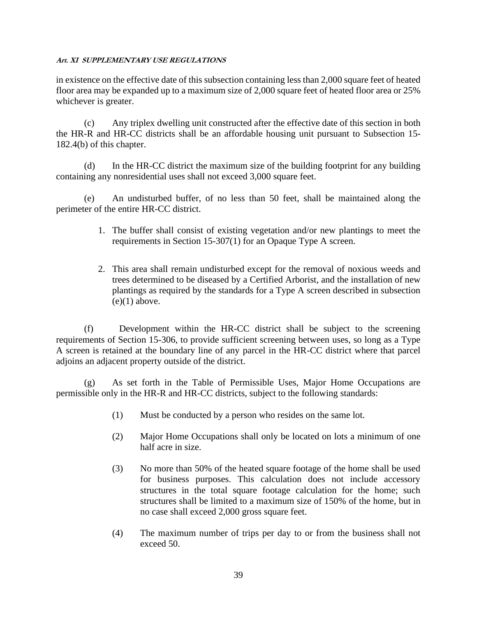in existence on the effective date of this subsection containing less than 2,000 square feet of heated floor area may be expanded up to a maximum size of 2,000 square feet of heated floor area or 25% whichever is greater.

(c) Any triplex dwelling unit constructed after the effective date of this section in both the HR-R and HR-CC districts shall be an affordable housing unit pursuant to Subsection 15- 182.4(b) of this chapter.

(d) In the HR-CC district the maximum size of the building footprint for any building containing any nonresidential uses shall not exceed 3,000 square feet.

(e) An undisturbed buffer, of no less than 50 feet, shall be maintained along the perimeter of the entire HR-CC district.

- 1. The buffer shall consist of existing vegetation and/or new plantings to meet the requirements in Section 15-307(1) for an Opaque Type A screen.
- 2. This area shall remain undisturbed except for the removal of noxious weeds and trees determined to be diseased by a Certified Arborist, and the installation of new plantings as required by the standards for a Type A screen described in subsection  $(e)(1)$  above.

(f) Development within the HR-CC district shall be subject to the screening requirements of Section 15-306, to provide sufficient screening between uses, so long as a Type A screen is retained at the boundary line of any parcel in the HR-CC district where that parcel adjoins an adjacent property outside of the district.

(g) As set forth in the Table of Permissible Uses, Major Home Occupations are permissible only in the HR-R and HR-CC districts, subject to the following standards:

- (1) Must be conducted by a person who resides on the same lot.
- (2) Major Home Occupations shall only be located on lots a minimum of one half acre in size.
- (3) No more than 50% of the heated square footage of the home shall be used for business purposes. This calculation does not include accessory structures in the total square footage calculation for the home; such structures shall be limited to a maximum size of 150% of the home, but in no case shall exceed 2,000 gross square feet.
- (4) The maximum number of trips per day to or from the business shall not exceed 50.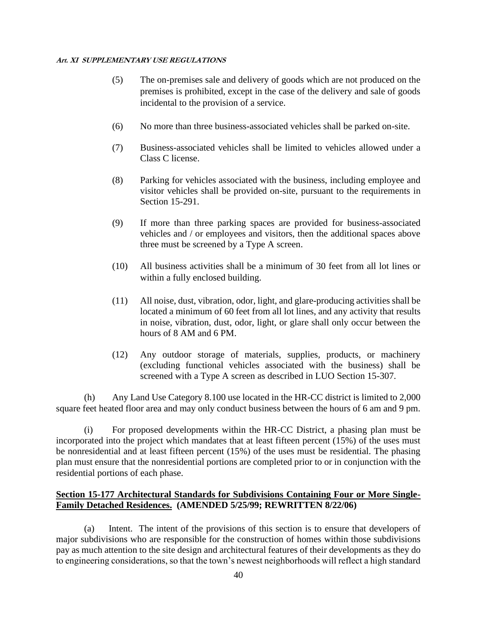- (5) The on-premises sale and delivery of goods which are not produced on the premises is prohibited, except in the case of the delivery and sale of goods incidental to the provision of a service.
- (6) No more than three business-associated vehicles shall be parked on-site.
- (7) Business-associated vehicles shall be limited to vehicles allowed under a Class C license.
- (8) Parking for vehicles associated with the business, including employee and visitor vehicles shall be provided on-site, pursuant to the requirements in Section 15-291.
- (9) If more than three parking spaces are provided for business-associated vehicles and / or employees and visitors, then the additional spaces above three must be screened by a Type A screen.
- (10) All business activities shall be a minimum of 30 feet from all lot lines or within a fully enclosed building.
- (11) All noise, dust, vibration, odor, light, and glare-producing activities shall be located a minimum of 60 feet from all lot lines, and any activity that results in noise, vibration, dust, odor, light, or glare shall only occur between the hours of 8 AM and 6 PM.
- (12) Any outdoor storage of materials, supplies, products, or machinery (excluding functional vehicles associated with the business) shall be screened with a Type A screen as described in LUO Section 15-307.

(h) Any Land Use Category 8.100 use located in the HR-CC district is limited to 2,000 square feet heated floor area and may only conduct business between the hours of 6 am and 9 pm.

(i) For proposed developments within the HR-CC District, a phasing plan must be incorporated into the project which mandates that at least fifteen percent (15%) of the uses must be nonresidential and at least fifteen percent (15%) of the uses must be residential. The phasing plan must ensure that the nonresidential portions are completed prior to or in conjunction with the residential portions of each phase.

### **Section 15-177 Architectural Standards for Subdivisions Containing Four or More Single-Family Detached Residences. (AMENDED 5/25/99; REWRITTEN 8/22/06)**

(a) Intent. The intent of the provisions of this section is to ensure that developers of major subdivisions who are responsible for the construction of homes within those subdivisions pay as much attention to the site design and architectural features of their developments as they do to engineering considerations, so that the town's newest neighborhoods will reflect a high standard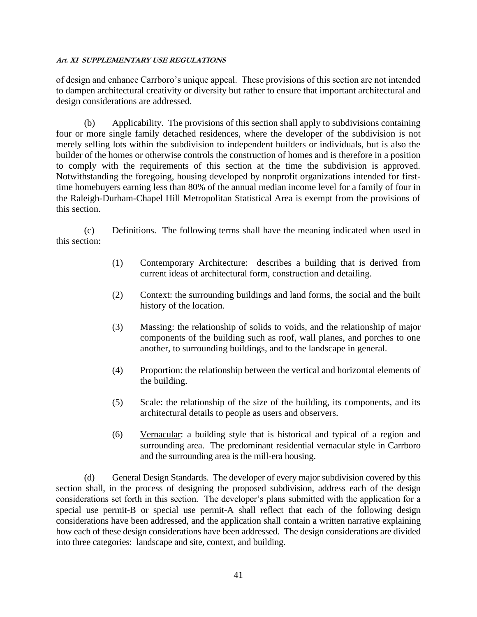of design and enhance Carrboro's unique appeal. These provisions of this section are not intended to dampen architectural creativity or diversity but rather to ensure that important architectural and design considerations are addressed.

(b) Applicability. The provisions of this section shall apply to subdivisions containing four or more single family detached residences, where the developer of the subdivision is not merely selling lots within the subdivision to independent builders or individuals, but is also the builder of the homes or otherwise controls the construction of homes and is therefore in a position to comply with the requirements of this section at the time the subdivision is approved. Notwithstanding the foregoing, housing developed by nonprofit organizations intended for firsttime homebuyers earning less than 80% of the annual median income level for a family of four in the Raleigh-Durham-Chapel Hill Metropolitan Statistical Area is exempt from the provisions of this section.

(c) Definitions. The following terms shall have the meaning indicated when used in this section:

- (1) Contemporary Architecture: describes a building that is derived from current ideas of architectural form, construction and detailing.
- (2) Context: the surrounding buildings and land forms, the social and the built history of the location.
- (3) Massing: the relationship of solids to voids, and the relationship of major components of the building such as roof, wall planes, and porches to one another, to surrounding buildings, and to the landscape in general.
- (4) Proportion: the relationship between the vertical and horizontal elements of the building.
- (5) Scale: the relationship of the size of the building, its components, and its architectural details to people as users and observers.
- (6) Vernacular: a building style that is historical and typical of a region and surrounding area. The predominant residential vernacular style in Carrboro and the surrounding area is the mill-era housing.

(d) General Design Standards. The developer of every major subdivision covered by this section shall, in the process of designing the proposed subdivision, address each of the design considerations set forth in this section. The developer's plans submitted with the application for a special use permit-B or special use permit-A shall reflect that each of the following design considerations have been addressed, and the application shall contain a written narrative explaining how each of these design considerations have been addressed. The design considerations are divided into three categories: landscape and site, context, and building.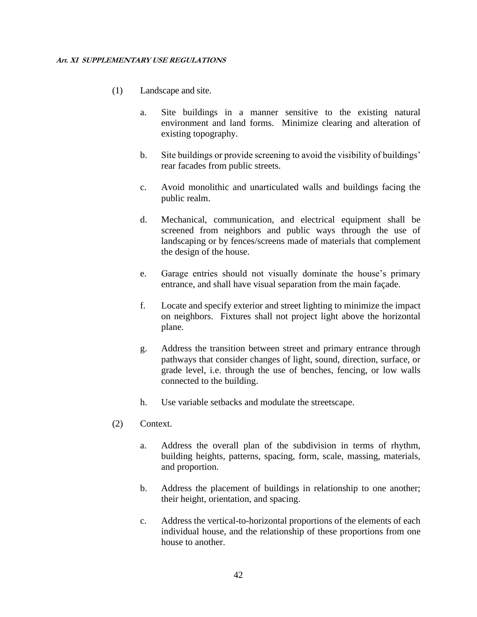- (1) Landscape and site.
	- a. Site buildings in a manner sensitive to the existing natural environment and land forms. Minimize clearing and alteration of existing topography.
	- b. Site buildings or provide screening to avoid the visibility of buildings' rear facades from public streets.
	- c. Avoid monolithic and unarticulated walls and buildings facing the public realm.
	- d. Mechanical, communication, and electrical equipment shall be screened from neighbors and public ways through the use of landscaping or by fences/screens made of materials that complement the design of the house.
	- e. Garage entries should not visually dominate the house's primary entrance, and shall have visual separation from the main façade.
	- f. Locate and specify exterior and street lighting to minimize the impact on neighbors. Fixtures shall not project light above the horizontal plane.
	- g. Address the transition between street and primary entrance through pathways that consider changes of light, sound, direction, surface, or grade level, i.e. through the use of benches, fencing, or low walls connected to the building.
	- h. Use variable setbacks and modulate the streetscape.
- (2) Context.
	- a. Address the overall plan of the subdivision in terms of rhythm, building heights, patterns, spacing, form, scale, massing, materials, and proportion.
	- b. Address the placement of buildings in relationship to one another; their height, orientation, and spacing.
	- c. Address the vertical-to-horizontal proportions of the elements of each individual house, and the relationship of these proportions from one house to another.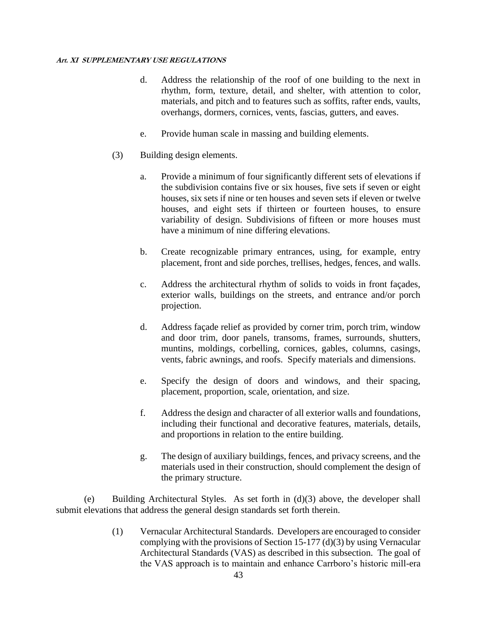- d. Address the relationship of the roof of one building to the next in rhythm, form, texture, detail, and shelter, with attention to color, materials, and pitch and to features such as soffits, rafter ends, vaults, overhangs, dormers, cornices, vents, fascias, gutters, and eaves.
- e. Provide human scale in massing and building elements.
- (3) Building design elements.
	- a. Provide a minimum of four significantly different sets of elevations if the subdivision contains five or six houses, five sets if seven or eight houses, six sets if nine or ten houses and seven sets if eleven or twelve houses, and eight sets if thirteen or fourteen houses, to ensure variability of design. Subdivisions of fifteen or more houses must have a minimum of nine differing elevations.
	- b. Create recognizable primary entrances, using, for example, entry placement, front and side porches, trellises, hedges, fences, and walls.
	- c. Address the architectural rhythm of solids to voids in front façades, exterior walls, buildings on the streets, and entrance and/or porch projection.
	- d. Address façade relief as provided by corner trim, porch trim, window and door trim, door panels, transoms, frames, surrounds, shutters, muntins, moldings, corbelling, cornices, gables, columns, casings, vents, fabric awnings, and roofs. Specify materials and dimensions.
	- e. Specify the design of doors and windows, and their spacing, placement, proportion, scale, orientation, and size.
	- f. Address the design and character of all exterior walls and foundations, including their functional and decorative features, materials, details, and proportions in relation to the entire building.
	- g. The design of auxiliary buildings, fences, and privacy screens, and the materials used in their construction, should complement the design of the primary structure.

(e) Building Architectural Styles. As set forth in (d)(3) above, the developer shall submit elevations that address the general design standards set forth therein.

> (1) Vernacular Architectural Standards. Developers are encouraged to consider complying with the provisions of Section 15-177 (d)(3) by using Vernacular Architectural Standards (VAS) as described in this subsection. The goal of the VAS approach is to maintain and enhance Carrboro's historic mill-era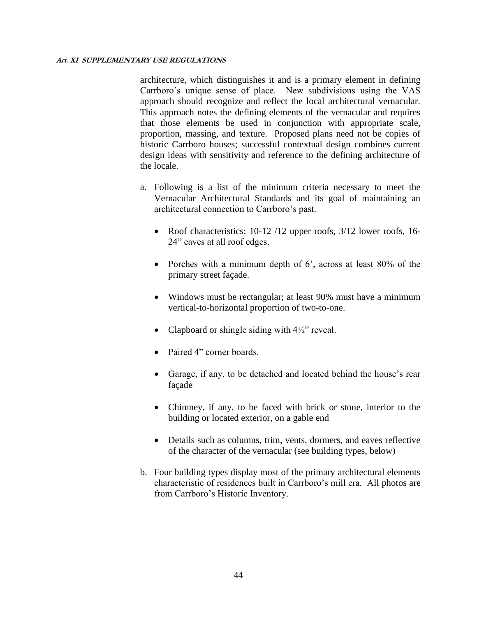architecture, which distinguishes it and is a primary element in defining Carrboro's unique sense of place. New subdivisions using the VAS approach should recognize and reflect the local architectural vernacular. This approach notes the defining elements of the vernacular and requires that those elements be used in conjunction with appropriate scale, proportion, massing, and texture. Proposed plans need not be copies of historic Carrboro houses; successful contextual design combines current design ideas with sensitivity and reference to the defining architecture of the locale.

- a. Following is a list of the minimum criteria necessary to meet the Vernacular Architectural Standards and its goal of maintaining an architectural connection to Carrboro's past.
	- Roof characteristics: 10-12 /12 upper roofs, 3/12 lower roofs, 16-24" eaves at all roof edges.
	- Porches with a minimum depth of 6', across at least 80% of the primary street façade.
	- Windows must be rectangular; at least 90% must have a minimum vertical-to-horizontal proportion of two-to-one.
	- Clapboard or shingle siding with  $4\frac{1}{2}$ " reveal.
	- Paired 4" corner boards.
	- Garage, if any, to be detached and located behind the house's rear façade
	- Chimney, if any, to be faced with brick or stone, interior to the building or located exterior, on a gable end
	- Details such as columns, trim, vents, dormers, and eaves reflective of the character of the vernacular (see building types, below)
- b. Four building types display most of the primary architectural elements characteristic of residences built in Carrboro's mill era. All photos are from Carrboro's Historic Inventory.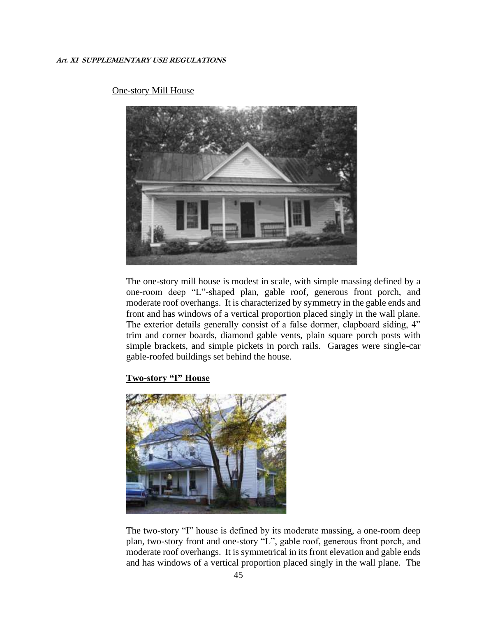

#### One-story Mill House

The one-story mill house is modest in scale, with simple massing defined by a one-room deep "L"-shaped plan, gable roof, generous front porch, and moderate roof overhangs. It is characterized by symmetry in the gable ends and front and has windows of a vertical proportion placed singly in the wall plane. The exterior details generally consist of a false dormer, clapboard siding, 4" trim and corner boards, diamond gable vents, plain square porch posts with simple brackets, and simple pickets in porch rails. Garages were single-car gable-roofed buildings set behind the house.

#### **Two-story "I" House**



The two-story "I" house is defined by its moderate massing, a one-room deep plan, two-story front and one-story "L", gable roof, generous front porch, and moderate roof overhangs. It is symmetrical in its front elevation and gable ends and has windows of a vertical proportion placed singly in the wall plane. The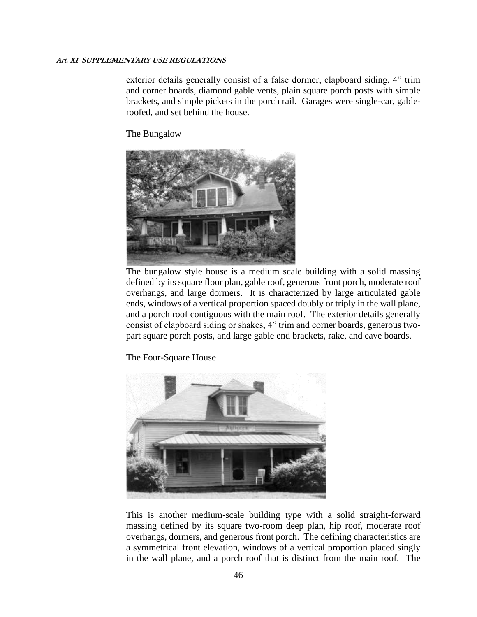exterior details generally consist of a false dormer, clapboard siding, 4" trim and corner boards, diamond gable vents, plain square porch posts with simple brackets, and simple pickets in the porch rail. Garages were single-car, gableroofed, and set behind the house.

The Bungalow



The bungalow style house is a medium scale building with a solid massing defined by its square floor plan, gable roof, generous front porch, moderate roof overhangs, and large dormers. It is characterized by large articulated gable ends, windows of a vertical proportion spaced doubly or triply in the wall plane, and a porch roof contiguous with the main roof. The exterior details generally consist of clapboard siding or shakes, 4" trim and corner boards, generous twopart square porch posts, and large gable end brackets, rake, and eave boards.

The Four-Square House



This is another medium-scale building type with a solid straight-forward massing defined by its square two-room deep plan, hip roof, moderate roof overhangs, dormers, and generous front porch. The defining characteristics are a symmetrical front elevation, windows of a vertical proportion placed singly in the wall plane, and a porch roof that is distinct from the main roof. The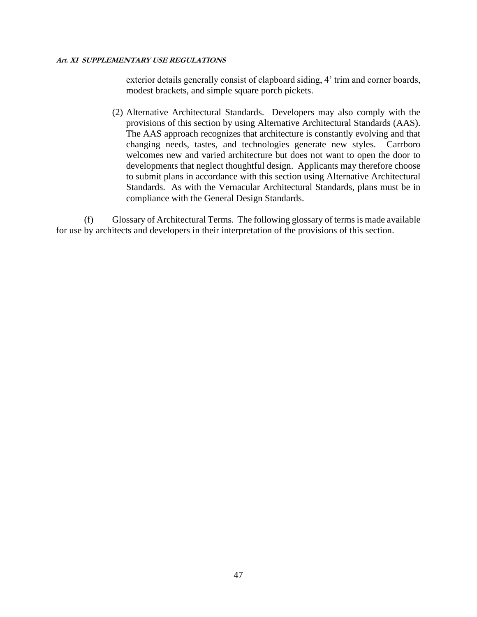exterior details generally consist of clapboard siding, 4' trim and corner boards, modest brackets, and simple square porch pickets.

(2) Alternative Architectural Standards. Developers may also comply with the provisions of this section by using Alternative Architectural Standards (AAS). The AAS approach recognizes that architecture is constantly evolving and that changing needs, tastes, and technologies generate new styles. Carrboro welcomes new and varied architecture but does not want to open the door to developments that neglect thoughtful design. Applicants may therefore choose to submit plans in accordance with this section using Alternative Architectural Standards. As with the Vernacular Architectural Standards, plans must be in compliance with the General Design Standards.

(f) Glossary of Architectural Terms. The following glossary of terms is made available for use by architects and developers in their interpretation of the provisions of this section.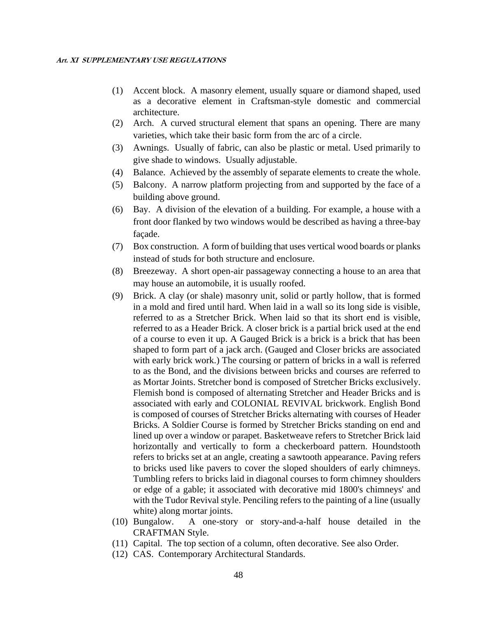- (1) Accent block. A masonry element, usually square or diamond shaped, used as a decorative element in Craftsman-style domestic and commercial architecture.
- (2) Arch. A curved structural element that spans an opening. There are many varieties, which take their basic form from the arc of a circle.
- (3) Awnings. Usually of fabric, can also be plastic or metal. Used primarily to give shade to windows. Usually adjustable.
- (4) Balance. Achieved by the assembly of separate elements to create the whole.
- (5) Balcony. A narrow platform projecting from and supported by the face of a building above ground.
- (6) Bay. A division of the elevation of a building. For example, a house with a front door flanked by two windows would be described as having a three-bay façade.
- (7) Box construction. A form of building that uses vertical wood boards or planks instead of studs for both structure and enclosure.
- (8) Breezeway. A short open-air passageway connecting a house to an area that may house an automobile, it is usually roofed.
- (9) Brick. A clay (or shale) masonry unit, solid or partly hollow, that is formed in a mold and fired until hard. When laid in a wall so its long side is visible, referred to as a Stretcher Brick. When laid so that its short end is visible, referred to as a Header Brick. A closer brick is a partial brick used at the end of a course to even it up. A Gauged Brick is a brick is a brick that has been shaped to form part of a jack arch. (Gauged and Closer bricks are associated with early brick work.) The coursing or pattern of bricks in a wall is referred to as the Bond, and the divisions between bricks and courses are referred to as Mortar Joints. Stretcher bond is composed of Stretcher Bricks exclusively. Flemish bond is composed of alternating Stretcher and Header Bricks and is associated with early and COLONIAL REVIVAL brickwork. English Bond is composed of courses of Stretcher Bricks alternating with courses of Header Bricks. A Soldier Course is formed by Stretcher Bricks standing on end and lined up over a window or parapet. Basketweave refers to Stretcher Brick laid horizontally and vertically to form a checkerboard pattern. Houndstooth refers to bricks set at an angle, creating a sawtooth appearance. Paving refers to bricks used like pavers to cover the sloped shoulders of early chimneys. Tumbling refers to bricks laid in diagonal courses to form chimney shoulders or edge of a gable; it associated with decorative mid 1800's chimneys' and with the Tudor Revival style. Penciling refers to the painting of a line (usually white) along mortar joints.
- (10) Bungalow. A one-story or story-and-a-half house detailed in the CRAFTMAN Style.
- (11) Capital. The top section of a column, often decorative. See also Order.
- (12) CAS. Contemporary Architectural Standards.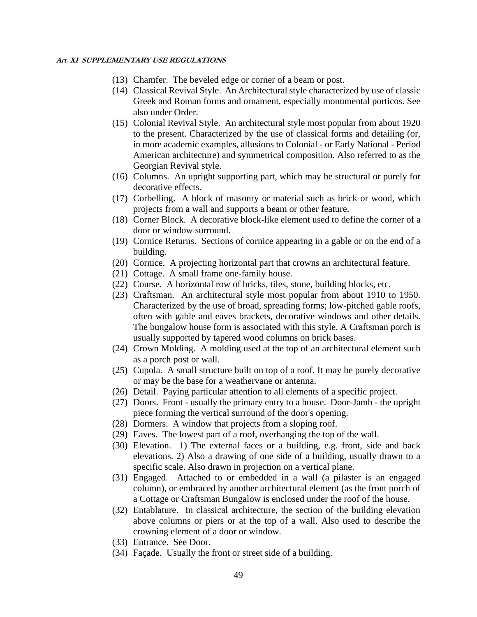- (13) Chamfer. The beveled edge or corner of a beam or post.
- (14) Classical Revival Style. An Architectural style characterized by use of classic Greek and Roman forms and ornament, especially monumental porticos. See also under Order.
- (15) Colonial Revival Style. An architectural style most popular from about 1920 to the present. Characterized by the use of classical forms and detailing (or, in more academic examples, allusions to Colonial - or Early National - Period American architecture) and symmetrical composition. Also referred to as the Georgian Revival style.
- (16) Columns. An upright supporting part, which may be structural or purely for decorative effects.
- (17) Corbelling. A block of masonry or material such as brick or wood, which projects from a wall and supports a beam or other feature.
- (18) Corner Block. A decorative block-like element used to define the corner of a door or window surround.
- (19) Cornice Returns. Sections of cornice appearing in a gable or on the end of a building.
- (20) Cornice. A projecting horizontal part that crowns an architectural feature.
- (21) Cottage. A small frame one-family house.
- (22) Course. A horizontal row of bricks, tiles, stone, building blocks, etc.
- (23) Craftsman. An architectural style most popular from about 1910 to 1950. Characterized by the use of broad, spreading forms; low-pitched gable roofs, often with gable and eaves brackets, decorative windows and other details. The bungalow house form is associated with this style. A Craftsman porch is usually supported by tapered wood columns on brick bases.
- (24) Crown Molding. A molding used at the top of an architectural element such as a porch post or wall.
- (25) Cupola. A small structure built on top of a roof. It may be purely decorative or may be the base for a weathervane or antenna.
- (26) Detail. Paying particular attention to all elements of a specific project.
- (27) Doors. Front usually the primary entry to a house. Door-Jamb the upright piece forming the vertical surround of the door's opening.
- (28) Dormers. A window that projects from a sloping roof.
- (29) Eaves. The lowest part of a roof, overhanging the top of the wall.
- (30) Elevation. 1) The external faces or a building, e.g. front, side and back elevations. 2) Also a drawing of one side of a building, usually drawn to a specific scale. Also drawn in projection on a vertical plane.
- (31) Engaged. Attached to or embedded in a wall (a pilaster is an engaged column), or embraced by another architectural element (as the front porch of a Cottage or Craftsman Bungalow is enclosed under the roof of the house.
- (32) Entablature. In classical architecture, the section of the building elevation above columns or piers or at the top of a wall. Also used to describe the crowning element of a door or window.
- (33) Entrance. See Door.
- (34) Façade. Usually the front or street side of a building.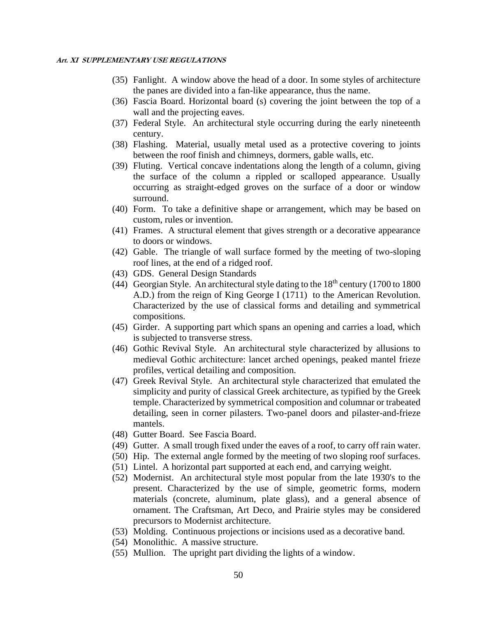- (35) Fanlight. A window above the head of a door. In some styles of architecture the panes are divided into a fan-like appearance, thus the name.
- (36) Fascia Board. Horizontal board (s) covering the joint between the top of a wall and the projecting eaves.
- (37) Federal Style. An architectural style occurring during the early nineteenth century.
- (38) Flashing. Material, usually metal used as a protective covering to joints between the roof finish and chimneys, dormers, gable walls, etc.
- (39) Fluting. Vertical concave indentations along the length of a column, giving the surface of the column a rippled or scalloped appearance. Usually occurring as straight-edged groves on the surface of a door or window surround.
- (40) Form. To take a definitive shape or arrangement, which may be based on custom, rules or invention.
- (41) Frames. A structural element that gives strength or a decorative appearance to doors or windows.
- (42) Gable. The triangle of wall surface formed by the meeting of two-sloping roof lines, at the end of a ridged roof.
- (43) GDS. General Design Standards
- (44) Georgian Style. An architectural style dating to the  $18<sup>th</sup>$  century (1700 to 1800) A.D.) from the reign of King George I (1711) to the American Revolution. Characterized by the use of classical forms and detailing and symmetrical compositions.
- (45) Girder. A supporting part which spans an opening and carries a load, which is subjected to transverse stress.
- (46) Gothic Revival Style. An architectural style characterized by allusions to medieval Gothic architecture: lancet arched openings, peaked mantel frieze profiles, vertical detailing and composition.
- (47) Greek Revival Style. An architectural style characterized that emulated the simplicity and purity of classical Greek architecture, as typified by the Greek temple. Characterized by symmetrical composition and columnar or trabeated detailing, seen in corner pilasters. Two-panel doors and pilaster-and-frieze mantels.
- (48) Gutter Board. See Fascia Board.
- (49) Gutter. A small trough fixed under the eaves of a roof, to carry off rain water.
- (50) Hip. The external angle formed by the meeting of two sloping roof surfaces.
- (51) Lintel. A horizontal part supported at each end, and carrying weight.
- (52) Modernist. An architectural style most popular from the late 1930's to the present. Characterized by the use of simple, geometric forms, modern materials (concrete, aluminum, plate glass), and a general absence of ornament. The Craftsman, Art Deco, and Prairie styles may be considered precursors to Modernist architecture.
- (53) Molding. Continuous projections or incisions used as a decorative band.
- (54) Monolithic. A massive structure.
- (55) Mullion. The upright part dividing the lights of a window.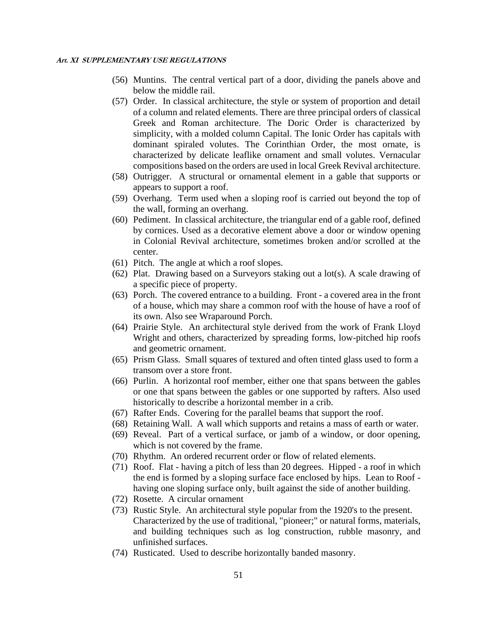- (56) Muntins. The central vertical part of a door, dividing the panels above and below the middle rail.
- (57) Order. In classical architecture, the style or system of proportion and detail of a column and related elements. There are three principal orders of classical Greek and Roman architecture. The Doric Order is characterized by simplicity, with a molded column Capital. The Ionic Order has capitals with dominant spiraled volutes. The Corinthian Order, the most ornate, is characterized by delicate leaflike ornament and small volutes. Vernacular compositions based on the orders are used in local Greek Revival architecture.
- (58) Outrigger. A structural or ornamental element in a gable that supports or appears to support a roof.
- (59) Overhang. Term used when a sloping roof is carried out beyond the top of the wall, forming an overhang.
- (60) Pediment. In classical architecture, the triangular end of a gable roof, defined by cornices. Used as a decorative element above a door or window opening in Colonial Revival architecture, sometimes broken and/or scrolled at the center.
- (61) Pitch. The angle at which a roof slopes.
- (62) Plat. Drawing based on a Surveyors staking out a lot(s). A scale drawing of a specific piece of property.
- (63) Porch. The covered entrance to a building. Front a covered area in the front of a house, which may share a common roof with the house of have a roof of its own. Also see Wraparound Porch.
- (64) Prairie Style. An architectural style derived from the work of Frank Lloyd Wright and others, characterized by spreading forms, low-pitched hip roofs and geometric ornament.
- (65) Prism Glass. Small squares of textured and often tinted glass used to form a transom over a store front.
- (66) Purlin. A horizontal roof member, either one that spans between the gables or one that spans between the gables or one supported by rafters. Also used historically to describe a horizontal member in a crib.
- (67) Rafter Ends. Covering for the parallel beams that support the roof.
- (68) Retaining Wall. A wall which supports and retains a mass of earth or water.
- (69) Reveal. Part of a vertical surface, or jamb of a window, or door opening, which is not covered by the frame.
- (70) Rhythm. An ordered recurrent order or flow of related elements.
- (71) Roof. Flat having a pitch of less than 20 degrees. Hipped a roof in which the end is formed by a sloping surface face enclosed by hips. Lean to Roof having one sloping surface only, built against the side of another building.
- (72) Rosette. A circular ornament
- (73) Rustic Style. An architectural style popular from the 1920's to the present. Characterized by the use of traditional, "pioneer;" or natural forms, materials, and building techniques such as log construction, rubble masonry, and unfinished surfaces.
- (74) Rusticated. Used to describe horizontally banded masonry.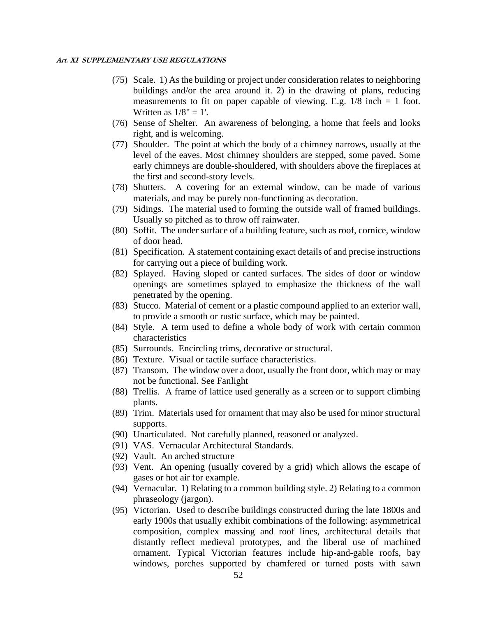- (75) Scale. 1) As the building or project under consideration relates to neighboring buildings and/or the area around it. 2) in the drawing of plans, reducing measurements to fit on paper capable of viewing. E.g.  $1/8$  inch = 1 foot. Written as  $1/8" = 1'.$
- (76) Sense of Shelter. An awareness of belonging, a home that feels and looks right, and is welcoming.
- (77) Shoulder. The point at which the body of a chimney narrows, usually at the level of the eaves. Most chimney shoulders are stepped, some paved. Some early chimneys are double-shouldered, with shoulders above the fireplaces at the first and second-story levels.
- (78) Shutters. A covering for an external window, can be made of various materials, and may be purely non-functioning as decoration.
- (79) Sidings. The material used to forming the outside wall of framed buildings. Usually so pitched as to throw off rainwater.
- (80) Soffit. The under surface of a building feature, such as roof, cornice, window of door head.
- (81) Specification. A statement containing exact details of and precise instructions for carrying out a piece of building work.
- (82) Splayed. Having sloped or canted surfaces. The sides of door or window openings are sometimes splayed to emphasize the thickness of the wall penetrated by the opening.
- (83) Stucco. Material of cement or a plastic compound applied to an exterior wall, to provide a smooth or rustic surface, which may be painted.
- (84) Style. A term used to define a whole body of work with certain common characteristics
- (85) Surrounds. Encircling trims, decorative or structural.
- (86) Texture. Visual or tactile surface characteristics.
- (87) Transom. The window over a door, usually the front door, which may or may not be functional. See Fanlight
- (88) Trellis. A frame of lattice used generally as a screen or to support climbing plants.
- (89) Trim. Materials used for ornament that may also be used for minor structural supports.
- (90) Unarticulated. Not carefully planned, reasoned or analyzed.
- (91) VAS. Vernacular Architectural Standards.
- (92) Vault. An arched structure
- (93) Vent. An opening (usually covered by a grid) which allows the escape of gases or hot air for example.
- (94) Vernacular. 1) Relating to a common building style. 2) Relating to a common phraseology (jargon).
- (95) Victorian. Used to describe buildings constructed during the late 1800s and early 1900s that usually exhibit combinations of the following: asymmetrical composition, complex massing and roof lines, architectural details that distantly reflect medieval prototypes, and the liberal use of machined ornament. Typical Victorian features include hip-and-gable roofs, bay windows, porches supported by chamfered or turned posts with sawn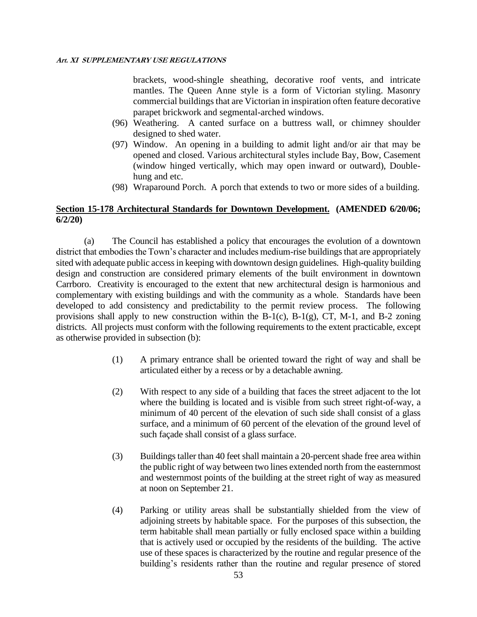brackets, wood-shingle sheathing, decorative roof vents, and intricate mantles. The Queen Anne style is a form of Victorian styling. Masonry commercial buildings that are Victorian in inspiration often feature decorative parapet brickwork and segmental-arched windows.

- (96) Weathering. A canted surface on a buttress wall, or chimney shoulder designed to shed water.
- (97) Window. An opening in a building to admit light and/or air that may be opened and closed. Various architectural styles include Bay, Bow, Casement (window hinged vertically, which may open inward or outward), Doublehung and etc.
- (98) Wraparound Porch. A porch that extends to two or more sides of a building.

### **Section 15-178 Architectural Standards for Downtown Development. (AMENDED 6/20/06; 6/2/20)**

(a) The Council has established a policy that encourages the evolution of a downtown district that embodies the Town's character and includes medium-rise buildings that are appropriately sited with adequate public access in keeping with downtown design guidelines. High-quality building design and construction are considered primary elements of the built environment in downtown Carrboro. Creativity is encouraged to the extent that new architectural design is harmonious and complementary with existing buildings and with the community as a whole. Standards have been developed to add consistency and predictability to the permit review process. The following provisions shall apply to new construction within the B-1(c), B-1(g), CT, M-1, and B-2 zoning districts. All projects must conform with the following requirements to the extent practicable, except as otherwise provided in subsection (b):

- (1) A primary entrance shall be oriented toward the right of way and shall be articulated either by a recess or by a detachable awning.
- (2) With respect to any side of a building that faces the street adjacent to the lot where the building is located and is visible from such street right-of-way, a minimum of 40 percent of the elevation of such side shall consist of a glass surface, and a minimum of 60 percent of the elevation of the ground level of such façade shall consist of a glass surface.
- (3) Buildings taller than 40 feet shall maintain a 20-percent shade free area within the public right of way between two lines extended north from the easternmost and westernmost points of the building at the street right of way as measured at noon on September 21.
- (4) Parking or utility areas shall be substantially shielded from the view of adjoining streets by habitable space. For the purposes of this subsection, the term habitable shall mean partially or fully enclosed space within a building that is actively used or occupied by the residents of the building. The active use of these spaces is characterized by the routine and regular presence of the building's residents rather than the routine and regular presence of stored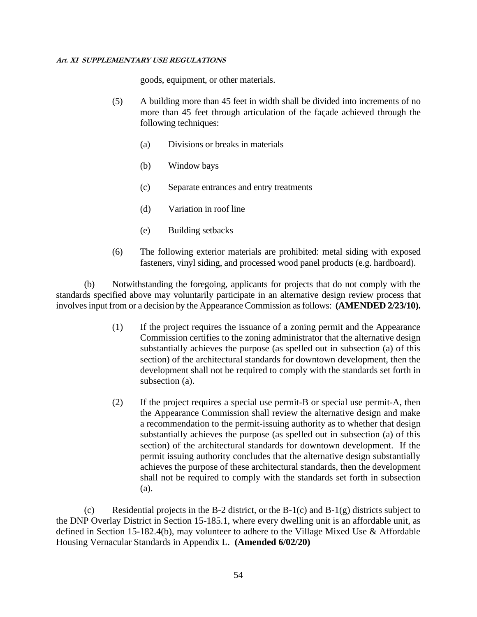goods, equipment, or other materials.

- (5) A building more than 45 feet in width shall be divided into increments of no more than 45 feet through articulation of the façade achieved through the following techniques:
	- (a) Divisions or breaks in materials
	- (b) Window bays
	- (c) Separate entrances and entry treatments
	- (d) Variation in roof line
	- (e) Building setbacks
- (6) The following exterior materials are prohibited: metal siding with exposed fasteners, vinyl siding, and processed wood panel products (e.g. hardboard).

(b) Notwithstanding the foregoing, applicants for projects that do not comply with the standards specified above may voluntarily participate in an alternative design review process that involves input from or a decision by the Appearance Commission as follows: **(AMENDED 2/23/10).**

- (1) If the project requires the issuance of a zoning permit and the Appearance Commission certifies to the zoning administrator that the alternative design substantially achieves the purpose (as spelled out in subsection (a) of this section) of the architectural standards for downtown development, then the development shall not be required to comply with the standards set forth in subsection (a).
- (2) If the project requires a special use permit-B or special use permit-A, then the Appearance Commission shall review the alternative design and make a recommendation to the permit-issuing authority as to whether that design substantially achieves the purpose (as spelled out in subsection (a) of this section) of the architectural standards for downtown development. If the permit issuing authority concludes that the alternative design substantially achieves the purpose of these architectural standards, then the development shall not be required to comply with the standards set forth in subsection (a).

(c) Residential projects in the B-2 district, or the B-1(c) and B-1(g) districts subject to the DNP Overlay District in Section 15-185.1, where every dwelling unit is an affordable unit, as defined in Section 15-182.4(b), may volunteer to adhere to the Village Mixed Use & Affordable Housing Vernacular Standards in Appendix L. **(Amended 6/02/20)**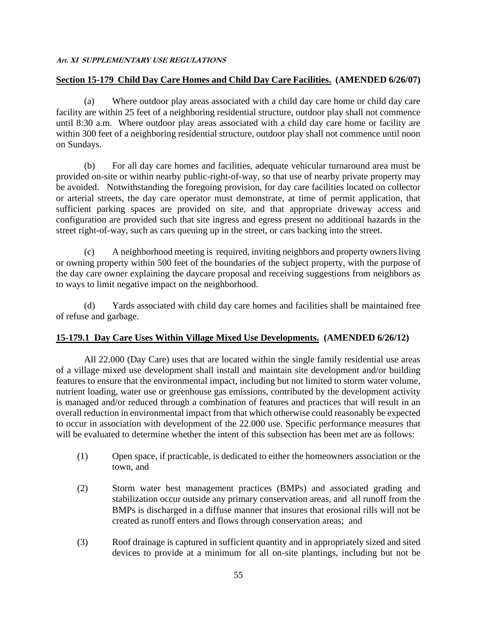### **Section 15-179 Child Day Care Homes and Child Day Care Facilities. (AMENDED 6/26/07)**

(a) Where outdoor play areas associated with a child day care home or child day care facility are within 25 feet of a neighboring residential structure, outdoor play shall not commence until 8:30 a.m. Where outdoor play areas associated with a child day care home or facility are within 300 feet of a neighboring residential structure, outdoor play shall not commence until noon on Sundays.

(b) For all day care homes and facilities, adequate vehicular turnaround area must be provided on-site or within nearby public-right-of-way, so that use of nearby private property may be avoided. Notwithstanding the foregoing provision, for day care facilities located on collector or arterial streets, the day care operator must demonstrate, at time of permit application, that sufficient parking spaces are provided on site, and that appropriate driveway access and configuration are provided such that site ingress and egress present no additional hazards in the street right-of-way, such as cars queuing up in the street, or cars backing into the street.

(c) A neighborhood meeting is required, inviting neighbors and property owners living or owning property within 500 feet of the boundaries of the subject property, with the purpose of the day care owner explaining the daycare proposal and receiving suggestions from neighbors as to ways to limit negative impact on the neighborhood.

(d) Yards associated with child day care homes and facilities shall be maintained free of refuse and garbage.

# **15-179.1 Day Care Uses Within Village Mixed Use Developments. (AMENDED 6/26/12)**

All 22.000 (Day Care) uses that are located within the single family residential use areas of a village mixed use development shall install and maintain site development and/or building features to ensure that the environmental impact, including but not limited to storm water volume, nutrient loading, water use or greenhouse gas emissions, contributed by the development activity is managed and/or reduced through a combination of features and practices that will result in an overall reduction in environmental impact from that which otherwise could reasonably be expected to occur in association with development of the 22.000 use. Specific performance measures that will be evaluated to determine whether the intent of this subsection has been met are as follows:

- (1) Open space, if practicable, is dedicated to either the homeowners association or the town, and
- (2) Storm water best management practices (BMPs) and associated grading and stabilization occur outside any primary conservation areas, and all runoff from the BMPs is discharged in a diffuse manner that insures that erosional rills will not be created as runoff enters and flows through conservation areas; and
- (3) Roof drainage is captured in sufficient quantity and in appropriately sized and sited devices to provide at a minimum for all on-site plantings, including but not be